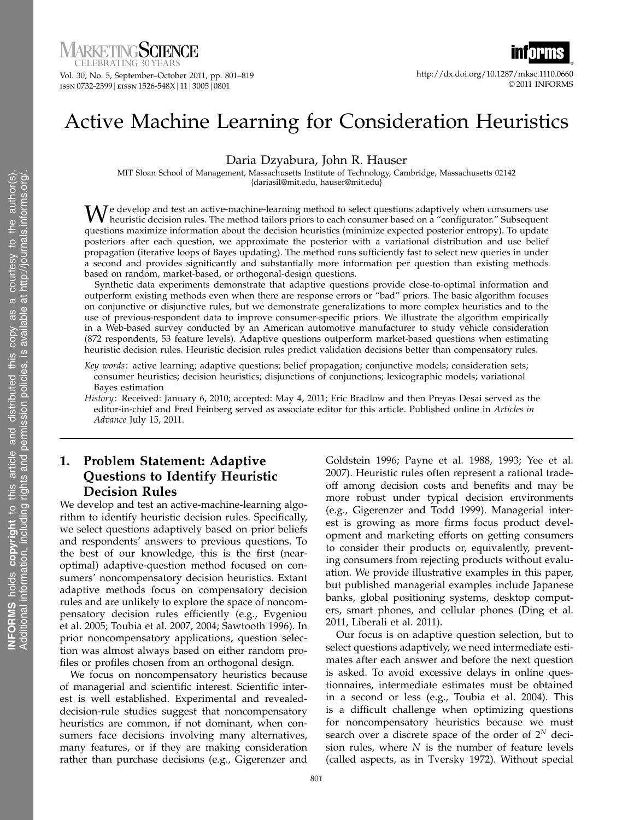CELEBRATING 30 YEAR

Vol. 30, No. 5, September–October 2011, pp. 801–819 1ssn 0732-2399 | eissn 1526-548X | 11 | 3005 | 0801

http://dx.doi.org/10.1287/mksc.1110.0660 © 2011 INFORMS

# Active Machine Learning for Consideration Heuristics

Daria Dzyabura, John R. Hauser

MIT Sloan School of Management, Massachusetts Institute of Technology, Cambridge, Massachusetts 02142 {dariasil@mit.edu, hauser@mit.edu}

We develop and test an active-machine-learning method to select questions adaptively when consumers use<br>heuristic decision rules. The method tailors priors to each consumer based on a "configurator." Subsequent<br>needs to a questions maximize information about the decision heuristics (minimize expected posterior entropy). To update posteriors after each question, we approximate the posterior with a variational distribution and use belief propagation (iterative loops of Bayes updating). The method runs sufficiently fast to select new queries in under a second and provides significantly and substantially more information per question than existing methods based on random, market-based, or orthogonal-design questions.

Synthetic data experiments demonstrate that adaptive questions provide close-to-optimal information and outperform existing methods even when there are response errors or "bad" priors. The basic algorithm focuses on conjunctive or disjunctive rules, but we demonstrate generalizations to more complex heuristics and to the use of previous-respondent data to improve consumer-specific priors. We illustrate the algorithm empirically in a Web-based survey conducted by an American automotive manufacturer to study vehicle consideration (872 respondents, 53 feature levels). Adaptive questions outperform market-based questions when estimating heuristic decision rules. Heuristic decision rules predict validation decisions better than compensatory rules.

- Key words: active learning; adaptive questions; belief propagation; conjunctive models; consideration sets; consumer heuristics; decision heuristics; disjunctions of conjunctions; lexicographic models; variational Bayes estimation
- History: Received: January 6, 2010; accepted: May 4, 2011; Eric Bradlow and then Preyas Desai served as the editor-in-chief and Fred Feinberg served as associate editor for this article. Published online in Articles in Advance July 15, 2011.

# 1. Problem Statement: Adaptive Questions to Identify Heuristic Decision Rules

We develop and test an active-machine-learning algorithm to identify heuristic decision rules. Specifically, we select questions adaptively based on prior beliefs and respondents' answers to previous questions. To the best of our knowledge, this is the first (nearoptimal) adaptive-question method focused on consumers' noncompensatory decision heuristics. Extant adaptive methods focus on compensatory decision rules and are unlikely to explore the space of noncompensatory decision rules efficiently (e.g., Evgeniou et al. 2005; Toubia et al. 2007, 2004; Sawtooth 1996). In prior noncompensatory applications, question selection was almost always based on either random profiles or profiles chosen from an orthogonal design.

We focus on noncompensatory heuristics because of managerial and scientific interest. Scientific interest is well established. Experimental and revealeddecision-rule studies suggest that noncompensatory heuristics are common, if not dominant, when consumers face decisions involving many alternatives, many features, or if they are making consideration rather than purchase decisions (e.g., Gigerenzer and Goldstein 1996; Payne et al. 1988, 1993; Yee et al. 2007). Heuristic rules often represent a rational tradeoff among decision costs and benefits and may be more robust under typical decision environments (e.g., Gigerenzer and Todd 1999). Managerial interest is growing as more firms focus product development and marketing efforts on getting consumers to consider their products or, equivalently, preventing consumers from rejecting products without evaluation. We provide illustrative examples in this paper, but published managerial examples include Japanese banks, global positioning systems, desktop computers, smart phones, and cellular phones (Ding et al. 2011, Liberali et al. 2011).

Our focus is on adaptive question selection, but to select questions adaptively, we need intermediate estimates after each answer and before the next question is asked. To avoid excessive delays in online questionnaires, intermediate estimates must be obtained in a second or less (e.g., Toubia et al. 2004). This is a difficult challenge when optimizing questions for noncompensatory heuristics because we must search over a discrete space of the order of  $2^N$  decision rules, where  $N$  is the number of feature levels (called aspects, as in Tversky 1972). Without special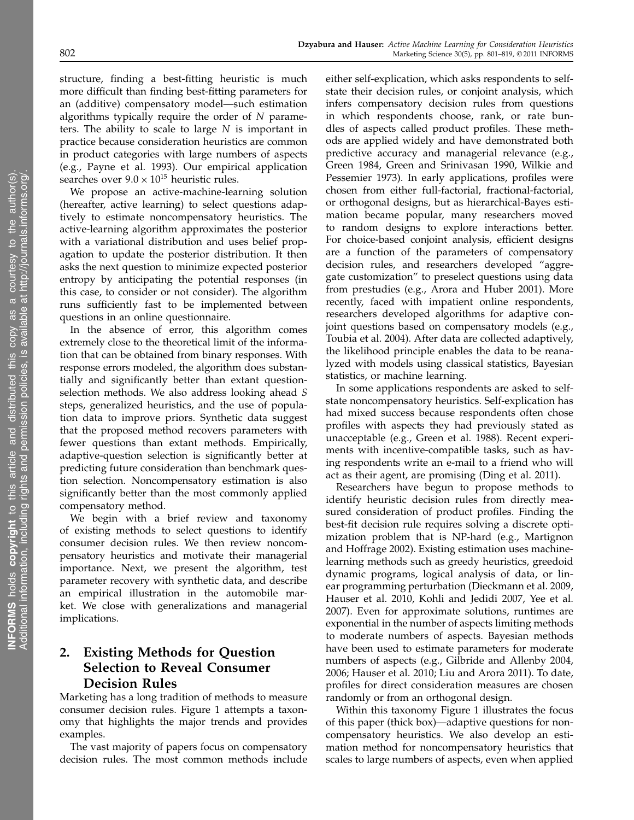structure, finding a best-fitting heuristic is much more difficult than finding best-fitting parameters for an (additive) compensatory model—such estimation algorithms typically require the order of N parameters. The ability to scale to large  $N$  is important in practice because consideration heuristics are common in product categories with large numbers of aspects (e.g., Payne et al. 1993). Our empirical application searches over  $9.0 \times 10^{15}$  heuristic rules.

We propose an active-machine-learning solution (hereafter, active learning) to select questions adaptively to estimate noncompensatory heuristics. The active-learning algorithm approximates the posterior with a variational distribution and uses belief propagation to update the posterior distribution. It then asks the next question to minimize expected posterior entropy by anticipating the potential responses (in this case, to consider or not consider). The algorithm runs sufficiently fast to be implemented between questions in an online questionnaire.

In the absence of error, this algorithm comes extremely close to the theoretical limit of the information that can be obtained from binary responses. With response errors modeled, the algorithm does substantially and significantly better than extant questionselection methods. We also address looking ahead S steps, generalized heuristics, and the use of population data to improve priors. Synthetic data suggest that the proposed method recovers parameters with fewer questions than extant methods. Empirically, adaptive-question selection is significantly better at predicting future consideration than benchmark question selection. Noncompensatory estimation is also significantly better than the most commonly applied compensatory method.

We begin with a brief review and taxonomy of existing methods to select questions to identify consumer decision rules. We then review noncompensatory heuristics and motivate their managerial importance. Next, we present the algorithm, test parameter recovery with synthetic data, and describe an empirical illustration in the automobile market. We close with generalizations and managerial implications.

# 2. Existing Methods for Question Selection to Reveal Consumer Decision Rules

Marketing has a long tradition of methods to measure consumer decision rules. Figure 1 attempts a taxonomy that highlights the major trends and provides examples.

The vast majority of papers focus on compensatory decision rules. The most common methods include either self-explication, which asks respondents to selfstate their decision rules, or conjoint analysis, which infers compensatory decision rules from questions in which respondents choose, rank, or rate bundles of aspects called product profiles. These methods are applied widely and have demonstrated both predictive accuracy and managerial relevance (e.g., Green 1984, Green and Srinivasan 1990, Wilkie and Pessemier 1973). In early applications, profiles were chosen from either full-factorial, fractional-factorial, or orthogonal designs, but as hierarchical-Bayes estimation became popular, many researchers moved to random designs to explore interactions better. For choice-based conjoint analysis, efficient designs are a function of the parameters of compensatory decision rules, and researchers developed "aggregate customization" to preselect questions using data from prestudies (e.g., Arora and Huber 2001). More recently, faced with impatient online respondents, researchers developed algorithms for adaptive conjoint questions based on compensatory models (e.g., Toubia et al. 2004). After data are collected adaptively, the likelihood principle enables the data to be reanalyzed with models using classical statistics, Bayesian statistics, or machine learning.

In some applications respondents are asked to selfstate noncompensatory heuristics. Self-explication has had mixed success because respondents often chose profiles with aspects they had previously stated as unacceptable (e.g., Green et al. 1988). Recent experiments with incentive-compatible tasks, such as having respondents write an e-mail to a friend who will act as their agent, are promising (Ding et al. 2011).

Researchers have begun to propose methods to identify heuristic decision rules from directly measured consideration of product profiles. Finding the best-fit decision rule requires solving a discrete optimization problem that is NP-hard (e.g., Martignon and Hoffrage 2002). Existing estimation uses machinelearning methods such as greedy heuristics, greedoid dynamic programs, logical analysis of data, or linear programming perturbation (Dieckmann et al. 2009, Hauser et al. 2010, Kohli and Jedidi 2007, Yee et al. 2007). Even for approximate solutions, runtimes are exponential in the number of aspects limiting methods to moderate numbers of aspects. Bayesian methods have been used to estimate parameters for moderate numbers of aspects (e.g., Gilbride and Allenby 2004, 2006; Hauser et al. 2010; Liu and Arora 2011). To date, profiles for direct consideration measures are chosen randomly or from an orthogonal design.

Within this taxonomy Figure 1 illustrates the focus of this paper (thick box)—adaptive questions for noncompensatory heuristics. We also develop an estimation method for noncompensatory heuristics that scales to large numbers of aspects, even when applied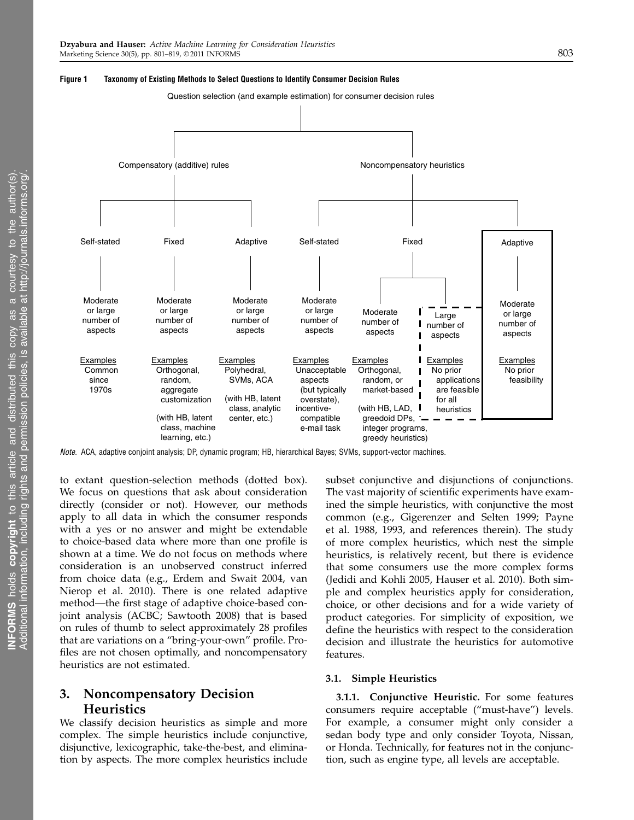

Question selection (and example estimation) for consumer decision rules



Note. ACA, adaptive conjoint analysis; DP, dynamic program; HB, hierarchical Bayes; SVMs, support-vector machines.

to extant question-selection methods (dotted box). We focus on questions that ask about consideration directly (consider or not). However, our methods apply to all data in which the consumer responds with a yes or no answer and might be extendable to choice-based data where more than one profile is shown at a time. We do not focus on methods where consideration is an unobserved construct inferred from choice data (e.g., Erdem and Swait 2004, van Nierop et al. 2010). There is one related adaptive method—the first stage of adaptive choice-based conjoint analysis (ACBC; Sawtooth 2008) that is based on rules of thumb to select approximately 28 profiles that are variations on a "bring-your-own" profile. Profiles are not chosen optimally, and noncompensatory heuristics are not estimated.

# 3. Noncompensatory Decision Heuristics

We classify decision heuristics as simple and more complex. The simple heuristics include conjunctive, disjunctive, lexicographic, take-the-best, and elimination by aspects. The more complex heuristics include subset conjunctive and disjunctions of conjunctions. The vast majority of scientific experiments have examined the simple heuristics, with conjunctive the most common (e.g., Gigerenzer and Selten 1999; Payne et al. 1988, 1993, and references therein). The study of more complex heuristics, which nest the simple heuristics, is relatively recent, but there is evidence that some consumers use the more complex forms (Jedidi and Kohli 2005, Hauser et al. 2010). Both simple and complex heuristics apply for consideration, choice, or other decisions and for a wide variety of product categories. For simplicity of exposition, we define the heuristics with respect to the consideration decision and illustrate the heuristics for automotive features.

#### 3.1. Simple Heuristics

3.1.1. Conjunctive Heuristic. For some features consumers require acceptable ("must-have") levels. For example, a consumer might only consider a sedan body type and only consider Toyota, Nissan, or Honda. Technically, for features not in the conjunction, such as engine type, all levels are acceptable.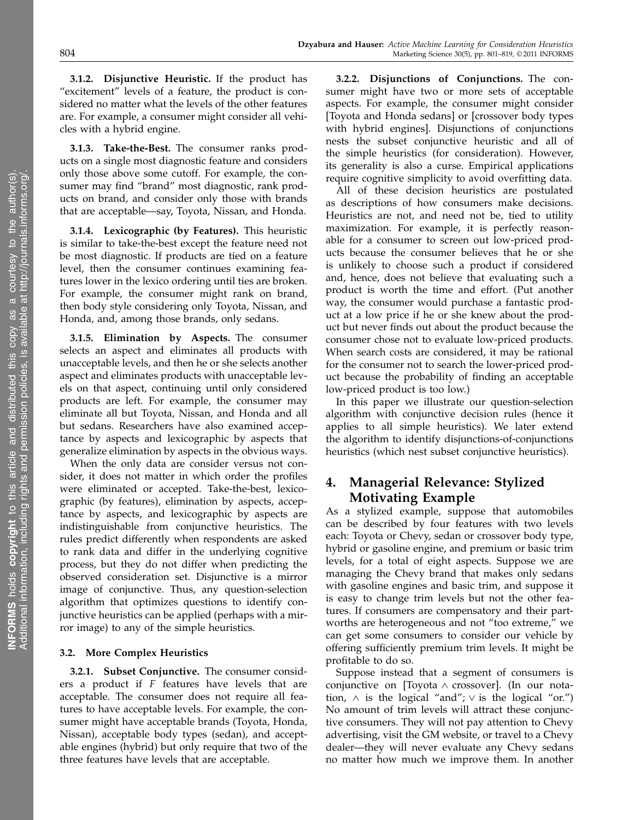3.1.2. Disjunctive Heuristic. If the product has "excitement" levels of a feature, the product is considered no matter what the levels of the other features are. For example, a consumer might consider all vehicles with a hybrid engine.

3.1.3. Take-the-Best. The consumer ranks products on a single most diagnostic feature and considers only those above some cutoff. For example, the consumer may find "brand" most diagnostic, rank products on brand, and consider only those with brands that are acceptable—say, Toyota, Nissan, and Honda.

3.1.4. Lexicographic (by Features). This heuristic is similar to take-the-best except the feature need not be most diagnostic. If products are tied on a feature level, then the consumer continues examining features lower in the lexico ordering until ties are broken. For example, the consumer might rank on brand, then body style considering only Toyota, Nissan, and Honda, and, among those brands, only sedans.

3.1.5. Elimination by Aspects. The consumer selects an aspect and eliminates all products with unacceptable levels, and then he or she selects another aspect and eliminates products with unacceptable levels on that aspect, continuing until only considered products are left. For example, the consumer may eliminate all but Toyota, Nissan, and Honda and all but sedans. Researchers have also examined acceptance by aspects and lexicographic by aspects that generalize elimination by aspects in the obvious ways.

When the only data are consider versus not consider, it does not matter in which order the profiles were eliminated or accepted. Take-the-best, lexicographic (by features), elimination by aspects, acceptance by aspects, and lexicographic by aspects are indistinguishable from conjunctive heuristics. The rules predict differently when respondents are asked to rank data and differ in the underlying cognitive process, but they do not differ when predicting the observed consideration set. Disjunctive is a mirror image of conjunctive. Thus, any question-selection algorithm that optimizes questions to identify conjunctive heuristics can be applied (perhaps with a mirror image) to any of the simple heuristics.

#### 3.2. More Complex Heuristics

3.2.1. Subset Conjunctive. The consumer considers a product if F features have levels that are acceptable. The consumer does not require all features to have acceptable levels. For example, the consumer might have acceptable brands (Toyota, Honda, Nissan), acceptable body types (sedan), and acceptable engines (hybrid) but only require that two of the three features have levels that are acceptable.

3.2.2. Disjunctions of Conjunctions. The consumer might have two or more sets of acceptable aspects. For example, the consumer might consider [Toyota and Honda sedans] or [crossover body types with hybrid engines]. Disjunctions of conjunctions nests the subset conjunctive heuristic and all of the simple heuristics (for consideration). However, its generality is also a curse. Empirical applications require cognitive simplicity to avoid overfitting data.

All of these decision heuristics are postulated as descriptions of how consumers make decisions. Heuristics are not, and need not be, tied to utility maximization. For example, it is perfectly reasonable for a consumer to screen out low-priced products because the consumer believes that he or she is unlikely to choose such a product if considered and, hence, does not believe that evaluating such a product is worth the time and effort. (Put another way, the consumer would purchase a fantastic product at a low price if he or she knew about the product but never finds out about the product because the consumer chose not to evaluate low-priced products. When search costs are considered, it may be rational for the consumer not to search the lower-priced product because the probability of finding an acceptable low-priced product is too low.)

In this paper we illustrate our question-selection algorithm with conjunctive decision rules (hence it applies to all simple heuristics). We later extend the algorithm to identify disjunctions-of-conjunctions heuristics (which nest subset conjunctive heuristics).

# 4. Managerial Relevance: Stylized Motivating Example

As a stylized example, suppose that automobiles can be described by four features with two levels each: Toyota or Chevy, sedan or crossover body type, hybrid or gasoline engine, and premium or basic trim levels, for a total of eight aspects. Suppose we are managing the Chevy brand that makes only sedans with gasoline engines and basic trim, and suppose it is easy to change trim levels but not the other features. If consumers are compensatory and their partworths are heterogeneous and not "too extreme," we can get some consumers to consider our vehicle by offering sufficiently premium trim levels. It might be profitable to do so.

Suppose instead that a segment of consumers is conjunctive on [Toyota ∧ crossover]. (In our notation,  $∧$  is the logical "and";  $∨$  is the logical "or.") No amount of trim levels will attract these conjunctive consumers. They will not pay attention to Chevy advertising, visit the GM website, or travel to a Chevy dealer—they will never evaluate any Chevy sedans no matter how much we improve them. In another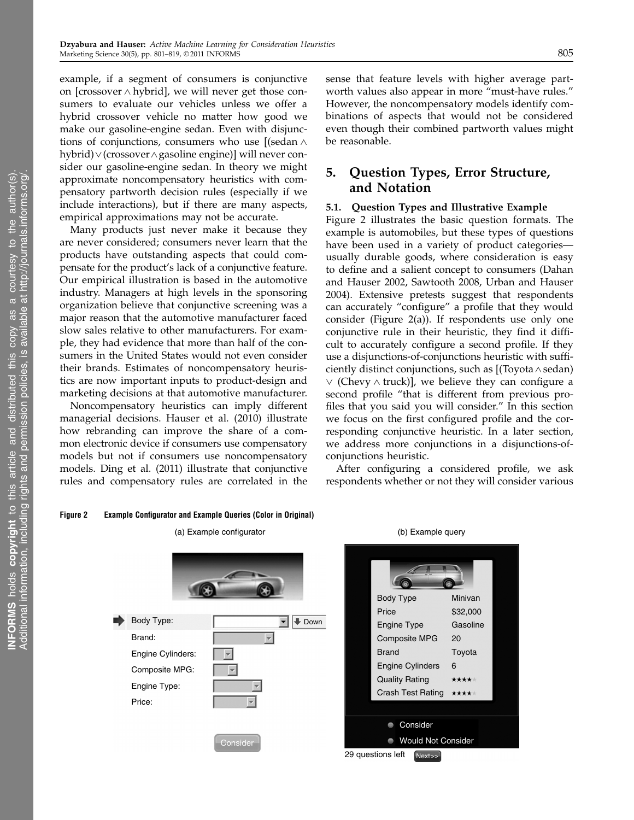example, if a segment of consumers is conjunctive on [crossover ∧ hybrid], we will never get those consumers to evaluate our vehicles unless we offer a hybrid crossover vehicle no matter how good we make our gasoline-engine sedan. Even with disjunctions of conjunctions, consumers who use [(sedan ∧ hybrid)∨(crossover∧gasoline engine)] will never consider our gasoline-engine sedan. In theory we might approximate noncompensatory heuristics with compensatory partworth decision rules (especially if we include interactions), but if there are many aspects, empirical approximations may not be accurate.

Many products just never make it because they are never considered; consumers never learn that the products have outstanding aspects that could compensate for the product's lack of a conjunctive feature. Our empirical illustration is based in the automotive industry. Managers at high levels in the sponsoring organization believe that conjunctive screening was a major reason that the automotive manufacturer faced slow sales relative to other manufacturers. For example, they had evidence that more than half of the consumers in the United States would not even consider their brands. Estimates of noncompensatory heuristics are now important inputs to product-design and marketing decisions at that automotive manufacturer.

Noncompensatory heuristics can imply different managerial decisions. Hauser et al. (2010) illustrate how rebranding can improve the share of a common electronic device if consumers use compensatory models but not if consumers use noncompensatory models. Ding et al. (2011) illustrate that conjunctive rules and compensatory rules are correlated in the sense that feature levels with higher average partworth values also appear in more "must-have rules." However, the noncompensatory models identify combinations of aspects that would not be considered even though their combined partworth values might be reasonable.

# 5. Question Types, Error Structure, and Notation

#### 5.1. Question Types and Illustrative Example

Figure 2 illustrates the basic question formats. The example is automobiles, but these types of questions have been used in a variety of product categories usually durable goods, where consideration is easy to define and a salient concept to consumers (Dahan and Hauser 2002, Sawtooth 2008, Urban and Hauser 2004). Extensive pretests suggest that respondents can accurately "configure" a profile that they would consider (Figure 2(a)). If respondents use only one conjunctive rule in their heuristic, they find it difficult to accurately configure a second profile. If they use a disjunctions-of-conjunctions heuristic with sufficiently distinct conjunctions, such as [(Toyota∧sedan) ∨ (Chevy ∧ truck)], we believe they can configure a second profile "that is different from previous profiles that you said you will consider." In this section we focus on the first configured profile and the corresponding conjunctive heuristic. In a later section, we address more conjunctions in a disjunctions-ofconjunctions heuristic.

respondents whether or not they will consider various

y as  $\overline{\sigma}$ 

courtesy to the author(s).

#### Figure 2 Example Configurator and Example Queries (Color in Original)



29 questions left Next>>

After configuring a considered profile, we ask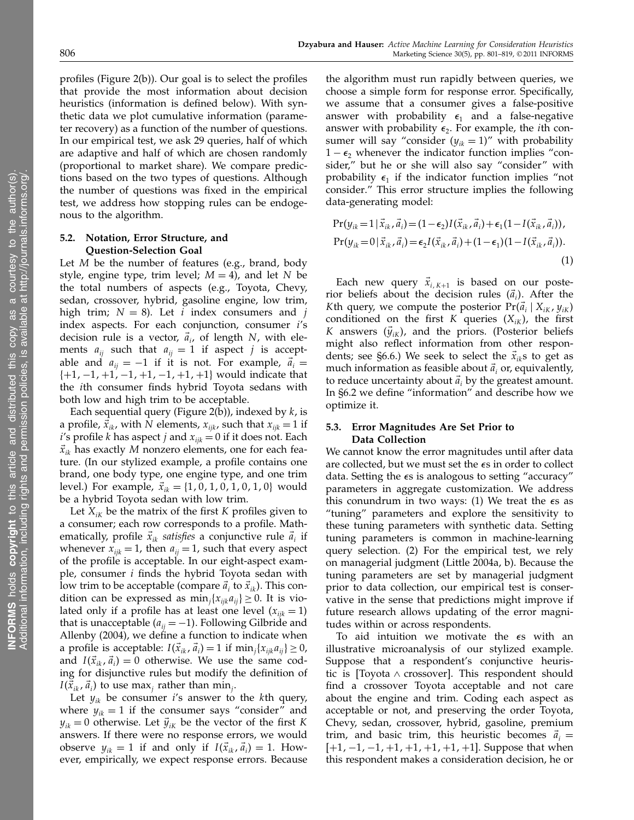profiles (Figure 2(b)). Our goal is to select the profiles that provide the most information about decision heuristics (information is defined below). With synthetic data we plot cumulative information (parameter recovery) as a function of the number of questions. In our empirical test, we ask 29 queries, half of which are adaptive and half of which are chosen randomly (proportional to market share). We compare predictions based on the two types of questions. Although the number of questions was fixed in the empirical test, we address how stopping rules can be endogenous to the algorithm.

## 5.2. Notation, Error Structure, and Question-Selection Goal

Let  $M$  be the number of features (e.g., brand, body style, engine type, trim level;  $M = 4$ ), and let N be the total numbers of aspects (e.g., Toyota, Chevy, sedan, crossover, hybrid, gasoline engine, low trim, high trim;  $N = 8$ ). Let *i* index consumers and *j* index aspects. For each conjunction, consumer i's decision rule is a vector,  $\vec{a}_i$ , of length N, with elements  $a_{ij}$  such that  $a_{ij} = 1$  if aspect j is acceptable and  $a_{ii} = -1$  if it is not. For example,  $\vec{a}_i =$  $\{+1, -1, +1, -1, +1, -1, +1, +1\}$  would indicate that the ith consumer finds hybrid Toyota sedans with both low and high trim to be acceptable.

Each sequential query (Figure 2(b)), indexed by  $k$ , is a profile,  $\vec{x}_{ik}$ , with N elements,  $x_{iik}$ , such that  $x_{iik} = 1$  if *i*'s profile *k* has aspect *j* and  $x_{ijk} = 0$  if it does not. Each  $\vec{x}_{ik}$  has exactly M nonzero elements, one for each feature. (In our stylized example, a profile contains one brand, one body type, one engine type, and one trim level.) For example,  $\vec{x}_{ik} = \{1, 0, 1, 0, 1, 0, 1, 0\}$  would be a hybrid Toyota sedan with low trim.

Let  $X_{ik}$  be the matrix of the first K profiles given to a consumer; each row corresponds to a profile. Mathematically, profile  $\vec{x}_{ik}$  satisfies a conjunctive rule  $\vec{a}_i$  if whenever  $x_{ijk} = 1$ , then  $a_{ij} = 1$ , such that every aspect of the profile is acceptable. In our eight-aspect example, consumer  $i$  finds the hybrid Toyota sedan with low trim to be acceptable (compare  $\vec{a}_i$  to  $\vec{x}_{ik}$ ). This condition can be expressed as  $min_j {x_{ijk}a_{ij}} \ge 0$ . It is violated only if a profile has at least one level  $(x_{ijk} = 1)$ that is unacceptable ( $a_{ij} = -1$ ). Following Gilbride and Allenby (2004), we define a function to indicate when a profile is acceptable:  $I(\vec{x}_{ik}, \vec{a}_i) = 1$  if  $\min_j \{x_{ijk}a_{ij}\} \geq 0$ , and  $I(\vec{x}_{ik}, \vec{a}_i) = 0$  otherwise. We use the same coding for disjunctive rules but modify the definition of  $I(\vec{x}_{ik}, \vec{a}_i)$  to use max<sub>j</sub> rather than min<sub>j</sub>.

Let  $y_{ik}$  be consumer *i*'s answer to the *k*th query, where  $y_{ik} = 1$  if the consumer says "consider" and  $y_{ik} = 0$  otherwise. Let  $\vec{y}_{ik}$  be the vector of the first K answers. If there were no response errors, we would observe  $y_{ik} = 1$  if and only if  $I(\vec{x}_{ik}, \vec{a}_i) = 1$ . However, empirically, we expect response errors. Because the algorithm must run rapidly between queries, we choose a simple form for response error. Specifically, we assume that a consumer gives a false-positive answer with probability  $\epsilon_1$  and a false-negative answer with probability  $\epsilon_2$ . For example, the *i*th consumer will say "consider  $(y_{ik} = 1)$ " with probability  $1 - \epsilon_2$  whenever the indicator function implies "consider," but he or she will also say "consider" with probability  $\epsilon_1$  if the indicator function implies "not consider." This error structure implies the following data-generating model:

$$
\Pr(y_{ik} = 1 | \vec{x}_{ik}, \vec{a}_i) = (1 - \epsilon_2) I(\vec{x}_{ik}, \vec{a}_i) + \epsilon_1 (1 - I(\vec{x}_{ik}, \vec{a}_i)),
$$
  
\n
$$
\Pr(y_{ik} = 0 | \vec{x}_{ik}, \vec{a}_i) = \epsilon_2 I(\vec{x}_{ik}, \vec{a}_i) + (1 - \epsilon_1)(1 - I(\vec{x}_{ik}, \vec{a}_i)).
$$
\n(1)

Each new query  $\vec{x}_{i,K+1}$  is based on our posterior beliefs about the decision rules  $(\vec{a}_i)$ . After the Kth query, we compute the posterior  $Pr(\vec{a}_i | X_{iK}, y_{iK})$ conditioned on the first K queries  $(X_{iK})$ , the first K answers  $(\vec{y}_{iK})$ , and the priors. (Posterior beliefs might also reflect information from other respondents; see §6.6.) We seek to select the  $\vec{x}_{ik}$ s to get as much information as feasible about  $\vec{a}_i$  or, equivalently, to reduce uncertainty about  $\vec{a}_i$  by the greatest amount. In §6.2 we define "information" and describe how we optimize it.

#### 5.3. Error Magnitudes Are Set Prior to Data Collection

We cannot know the error magnitudes until after data are collected, but we must set the  $\epsilon s$  in order to collect data. Setting the  $\epsilon s$  is analogous to setting "accuracy" parameters in aggregate customization. We address this conundrum in two ways: (1) We treat the  $\epsilon$ s as "tuning" parameters and explore the sensitivity to these tuning parameters with synthetic data. Setting tuning parameters is common in machine-learning query selection. (2) For the empirical test, we rely on managerial judgment (Little 2004a, b). Because the tuning parameters are set by managerial judgment prior to data collection, our empirical test is conservative in the sense that predictions might improve if future research allows updating of the error magnitudes within or across respondents.

To aid intuition we motivate the  $\epsilon$ s with an illustrative microanalysis of our stylized example. Suppose that a respondent's conjunctive heuristic is [Toyota  $\land$  crossover]. This respondent should find a crossover Toyota acceptable and not care about the engine and trim. Coding each aspect as acceptable or not, and preserving the order Toyota, Chevy, sedan, crossover, hybrid, gasoline, premium trim, and basic trim, this heuristic becomes  $\vec{a}_i$  =  $[-1,-1,-1,+1,+1,+1,+1,+1]$ . Suppose that when this respondent makes a consideration decision, he or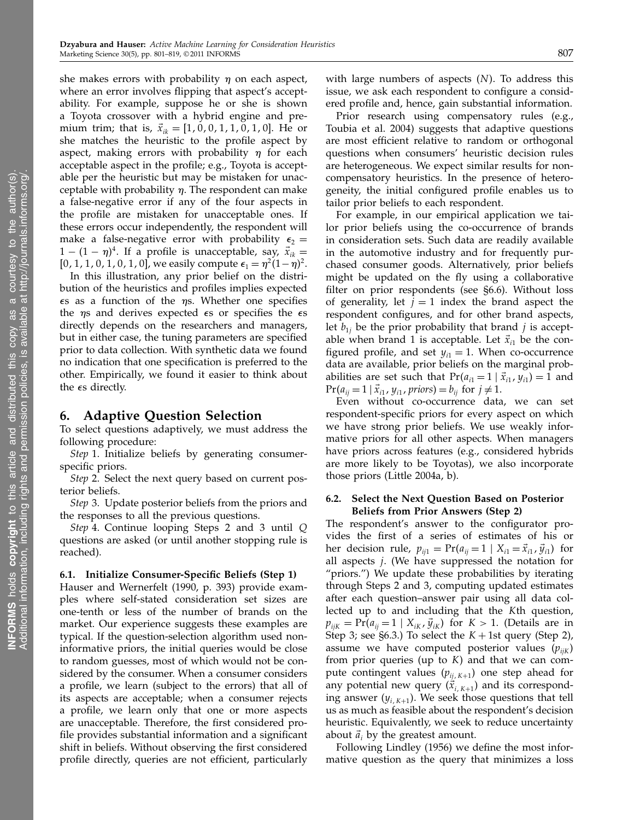she makes errors with probability  $\eta$  on each aspect, where an error involves flipping that aspect's acceptability. For example, suppose he or she is shown a Toyota crossover with a hybrid engine and premium trim; that is,  $\vec{x}_{ik} = [1, 0, 0, 1, 1, 0, 1, 0]$ . He or she matches the heuristic to the profile aspect by aspect, making errors with probability  $\eta$  for each acceptable aspect in the profile; e.g., Toyota is acceptable per the heuristic but may be mistaken for unacceptable with probability  $\eta$ . The respondent can make a false-negative error if any of the four aspects in the profile are mistaken for unacceptable ones. If these errors occur independently, the respondent will make a false-negative error with probability  $\epsilon_2$  =  $1 - (1 - \eta)^4$ . If a profile is unacceptable, say,  $\vec{x}_{ik} =$ [0, 1, 1, 0, 1, 0, 1, 0], we easily compute  $\epsilon_1 = \eta^2 (1 - \eta)^2$ .

In this illustration, any prior belief on the distribution of the heuristics and profiles implies expected  $\epsilon$ s as a function of the  $\eta$ s. Whether one specifies the  $\eta$ s and derives expected  $\epsilon$ s or specifies the  $\epsilon$ s directly depends on the researchers and managers, but in either case, the tuning parameters are specified prior to data collection. With synthetic data we found no indication that one specification is preferred to the other. Empirically, we found it easier to think about the  $\epsilon$ s directly.

## 6. Adaptive Question Selection

To select questions adaptively, we must address the following procedure:

Step 1. Initialize beliefs by generating consumerspecific priors.

Step 2. Select the next query based on current posterior beliefs.

Step 3. Update posterior beliefs from the priors and the responses to all the previous questions.

Step 4. Continue looping Steps 2 and 3 until Q questions are asked (or until another stopping rule is reached).

#### 6.1. Initialize Consumer-Specific Beliefs (Step 1)

Hauser and Wernerfelt (1990, p. 393) provide examples where self-stated consideration set sizes are one-tenth or less of the number of brands on the market. Our experience suggests these examples are typical. If the question-selection algorithm used noninformative priors, the initial queries would be close to random guesses, most of which would not be considered by the consumer. When a consumer considers a profile, we learn (subject to the errors) that all of its aspects are acceptable; when a consumer rejects a profile, we learn only that one or more aspects are unacceptable. Therefore, the first considered profile provides substantial information and a significant shift in beliefs. Without observing the first considered profile directly, queries are not efficient, particularly with large numbers of aspects  $(N)$ . To address this issue, we ask each respondent to configure a considered profile and, hence, gain substantial information.

Prior research using compensatory rules (e.g., Toubia et al. 2004) suggests that adaptive questions are most efficient relative to random or orthogonal questions when consumers' heuristic decision rules are heterogeneous. We expect similar results for noncompensatory heuristics. In the presence of heterogeneity, the initial configured profile enables us to tailor prior beliefs to each respondent.

For example, in our empirical application we tailor prior beliefs using the co-occurrence of brands in consideration sets. Such data are readily available in the automotive industry and for frequently purchased consumer goods. Alternatively, prior beliefs might be updated on the fly using a collaborative filter on prior respondents (see §6.6). Without loss of generality, let  $j = 1$  index the brand aspect the respondent configures, and for other brand aspects, let  $b_{1j}$  be the prior probability that brand j is acceptable when brand 1 is acceptable. Let  $\vec{x}_{i1}$  be the configured profile, and set  $y_{i1} = 1$ . When co-occurrence data are available, prior beliefs on the marginal probabilities are set such that  $Pr(a_{i1} = 1 | \vec{x}_{i1}, y_{i1}) = 1$  and  $Pr(a_{ij} = 1 | \vec{x}_{i1}, y_{i1}, priors) = b_{ij}$  for  $j \neq 1$ .

Even without co-occurrence data, we can set respondent-specific priors for every aspect on which we have strong prior beliefs. We use weakly informative priors for all other aspects. When managers have priors across features (e.g., considered hybrids are more likely to be Toyotas), we also incorporate those priors (Little 2004a, b).

### 6.2. Select the Next Question Based on Posterior Beliefs from Prior Answers (Step 2)

The respondent's answer to the configurator provides the first of a series of estimates of his or her decision rule,  $p_{ij1} = \Pr(a_{ij} = 1 \mid X_{i1} = \vec{x}_{i1}, \vec{y}_{i1})$  for all aspects  $j$ . (We have suppressed the notation for "priors.") We update these probabilities by iterating through Steps 2 and 3, computing updated estimates after each question–answer pair using all data collected up to and including that the Kth question,  $p_{ijk} = Pr(a_{ij} = 1 \mid X_{ik}, \bar{y}_{ik})$  for  $K > 1$ . (Details are in Step 3; see §6.3.) To select the  $K + 1$ st query (Step 2), assume we have computed posterior values  $(p_{ijk})$ from prior queries (up to  $K$ ) and that we can compute contingent values  $(p_{ij, K+1})$  one step ahead for any potential new query  $(\vec{x}_{i,K+1})$  and its corresponding answer  $(y_{i,K+1})$ . We seek those questions that tell us as much as feasible about the respondent's decision heuristic. Equivalently, we seek to reduce uncertainty about  $\vec{a}_i$  by the greatest amount.

Following Lindley (1956) we define the most informative question as the query that minimizes a loss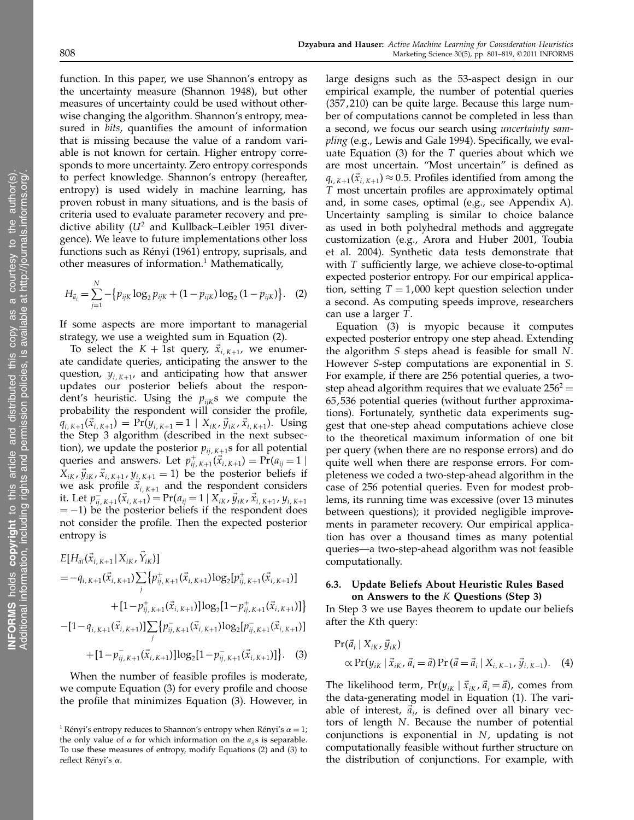function. In this paper, we use Shannon's entropy as the uncertainty measure (Shannon 1948), but other measures of uncertainty could be used without otherwise changing the algorithm. Shannon's entropy, measured in bits, quantifies the amount of information that is missing because the value of a random variable is not known for certain. Higher entropy corresponds to more uncertainty. Zero entropy corresponds to perfect knowledge. Shannon's entropy (hereafter, entropy) is used widely in machine learning, has proven robust in many situations, and is the basis of criteria used to evaluate parameter recovery and predictive ability ( $U^2$  and Kullback–Leibler 1951 divergence). We leave to future implementations other loss functions such as Rényi (1961) entropy, suprisals, and other measures of information.<sup>1</sup> Mathematically,

$$
H_{\vec{a}_i} = \sum_{j=1}^{N} -\{p_{ijk} \log_2 p_{ijk} + (1 - p_{ijk}) \log_2 (1 - p_{ijk})\}.
$$
 (2)

If some aspects are more important to managerial strategy, we use a weighted sum in Equation (2).

To select the  $K + 1$ st query,  $\vec{x}_{i,K+1}$ , we enumerate candidate queries, anticipating the answer to the question,  $y_{i,K+1}$ , and anticipating how that answer updates our posterior beliefs about the respondent's heuristic. Using the  $p_{ijk}$ s we compute the probability the respondent will consider the profile,  $q_{i,K+1}(\vec{x}_{i,K+1}) = Pr(y_{i,K+1} = 1 | X_{iK}, \vec{y}_{iK}, \vec{x}_{i,K+1}).$  Using the Step 3 algorithm (described in the next subsection), we update the posterior  $p_{ij, K+1}$ s for all potential queries and answers. Let  $p_{ij,K+1}^+(\vec{x}_{i,K+1}) = \Pr(a_{ij} = 1 |$  $X_{iK}$ ,  $\vec{y}_{iK}$ ,  $\vec{x}_{i,K+1}$ ,  $y_{i,K+1} = 1$ ) be the posterior beliefs if we ask profile  $\vec{x}_{i,K+1}$  and the respondent considers it. Let  $p_{ij,K+1}^-(\vec{x}_{i,K+1}) = Pr(a_{ij} = 1 | X_{iK}, \vec{y}_{iK}, \vec{x}_{i,K+1}, y_{i,K+1})$  $= -1$ ) be the posterior beliefs if the respondent does not consider the profile. Then the expected posterior entropy is

$$
E[H_{\vec{a}i}(\vec{x}_{i,K+1} | X_{iK}, \vec{Y}_{iK})]
$$
\n
$$
= -q_{i,K+1}(\vec{x}_{i,K+1}) \sum_{j} \{p_{ij,K+1}^{+}(\vec{x}_{i,K+1}) \log_{2}[p_{ij,K+1}^{+}(\vec{x}_{i,K+1})]
$$
\n
$$
+ [1-p_{ij,K+1}^{+}(\vec{x}_{i,K+1})] \log_{2}[1-p_{ij,K+1}^{+}(\vec{x}_{i,K+1})]
$$
\n
$$
-[1-q_{i,K+1}(\vec{x}_{i,K+1})] \sum_{j} \{p_{ij,K+1}^{-}(\vec{x}_{i,K+1}) \log_{2}[p_{ij,K+1}^{-}(\vec{x}_{i,K+1})]
$$
\n
$$
+ [1-p_{ij,K+1}^{-}(\vec{x}_{i,K+1})] \log_{2}[1-p_{ij,K+1}^{-}(\vec{x}_{i,K+1})]. \quad (3)
$$

When the number of feasible profiles is moderate, we compute Equation (3) for every profile and choose the profile that minimizes Equation (3). However, in large designs such as the 53-aspect design in our empirical example, the number of potential queries  $(357, 210)$  can be quite large. Because this large number of computations cannot be completed in less than a second, we focus our search using uncertainty sampling (e.g., Lewis and Gale 1994). Specifically, we evaluate Equation (3) for the  $T$  queries about which we are most uncertain. "Most uncertain" is defined as  $q_{i,K+1}(\vec{x}_{i,K+1}) \approx 0.5$ . Profiles identified from among the T most uncertain profiles are approximately optimal and, in some cases, optimal (e.g., see Appendix A). Uncertainty sampling is similar to choice balance as used in both polyhedral methods and aggregate customization (e.g., Arora and Huber 2001, Toubia et al. 2004). Synthetic data tests demonstrate that with T sufficiently large, we achieve close-to-optimal expected posterior entropy. For our empirical application, setting  $T = 1,000$  kept question selection under a second. As computing speeds improve, researchers can use a larger T.

Equation (3) is myopic because it computes expected posterior entropy one step ahead. Extending the algorithm S steps ahead is feasible for small N. However S-step computations are exponential in S. For example, if there are 256 potential queries, a twostep ahead algorithm requires that we evaluate  $256^2 =$ 65,536 potential queries (without further approximations). Fortunately, synthetic data experiments suggest that one-step ahead computations achieve close to the theoretical maximum information of one bit per query (when there are no response errors) and do quite well when there are response errors. For completeness we coded a two-step-ahead algorithm in the case of 256 potential queries. Even for modest problems, its running time was excessive (over 13 minutes between questions); it provided negligible improvements in parameter recovery. Our empirical application has over a thousand times as many potential queries—a two-step-ahead algorithm was not feasible computationally.

#### 6.3. Update Beliefs About Heuristic Rules Based on Answers to the K Questions (Step 3)

In Step 3 we use Bayes theorem to update our beliefs after the Kth query:

$$
Pr(\vec{a}_i | X_{iK}, \vec{y}_{iK})
$$
  
 
$$
\propto Pr(y_{iK} | \vec{x}_{iK}, \vec{a}_i = \vec{a}) Pr(\vec{a} = \vec{a}_i | X_{i, K-1}, \vec{y}_{i, K-1}).
$$
 (4)

The likelihood term,  $Pr(y_{iK} | \vec{x}_{iK}, \vec{a}_i = \vec{a})$ , comes from the data-generating model in Equation (1). The variable of interest,  $\vec{a}_{i}$ , is defined over all binary vectors of length N. Because the number of potential conjunctions is exponential in N, updating is not computationally feasible without further structure on the distribution of conjunctions. For example, with

<sup>&</sup>lt;sup>1</sup> Rényi's entropy reduces to Shannon's entropy when Rényi's  $\alpha = 1$ ; the only value of  $\alpha$  for which information on the  $a_{ij}$ s is separable. To use these measures of entropy, modify Equations (2) and (3) to reflect Rényi's  $\alpha$ .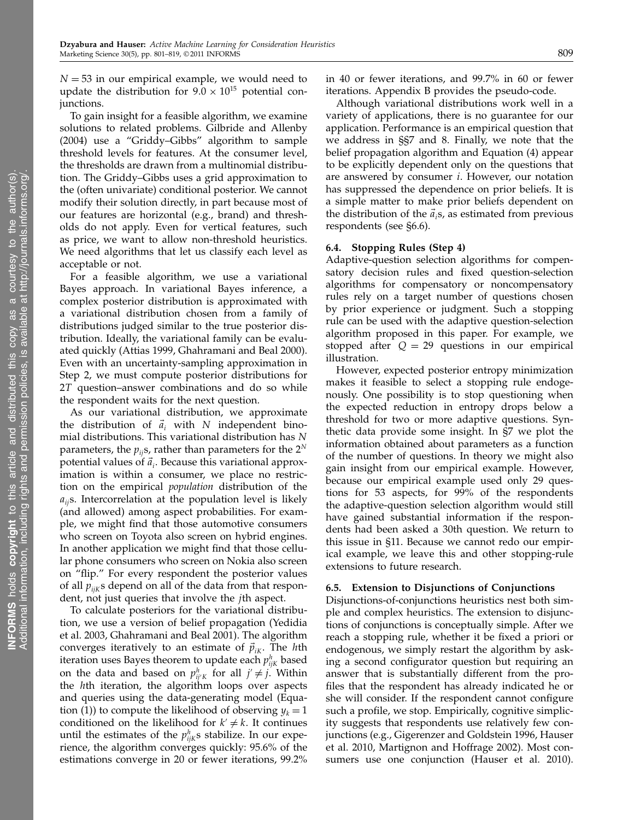$N = 53$  in our empirical example, we would need to update the distribution for  $9.0 \times 10^{15}$  potential conjunctions.

To gain insight for a feasible algorithm, we examine solutions to related problems. Gilbride and Allenby (2004) use a "Griddy–Gibbs" algorithm to sample threshold levels for features. At the consumer level, the thresholds are drawn from a multinomial distribution. The Griddy–Gibbs uses a grid approximation to the (often univariate) conditional posterior. We cannot modify their solution directly, in part because most of our features are horizontal (e.g., brand) and thresholds do not apply. Even for vertical features, such as price, we want to allow non-threshold heuristics. We need algorithms that let us classify each level as acceptable or not.

For a feasible algorithm, we use a variational Bayes approach. In variational Bayes inference, a complex posterior distribution is approximated with a variational distribution chosen from a family of distributions judged similar to the true posterior distribution. Ideally, the variational family can be evaluated quickly (Attias 1999, Ghahramani and Beal 2000). Even with an uncertainty-sampling approximation in Step 2, we must compute posterior distributions for 2T question–answer combinations and do so while the respondent waits for the next question.

As our variational distribution, we approximate the distribution of  $\vec{a}_i$  with N independent binomial distributions. This variational distribution has N parameters, the  $p_{ij}$ s, rather than parameters for the  $2^N$ potential values of  $\vec{a}_i$ . Because this variational approximation is within a consumer, we place no restriction on the empirical population distribution of the  $a_{ii}$ s. Intercorrelation at the population level is likely (and allowed) among aspect probabilities. For example, we might find that those automotive consumers who screen on Toyota also screen on hybrid engines. In another application we might find that those cellular phone consumers who screen on Nokia also screen on "flip." For every respondent the posterior values of all  $p_{ijk}$ s depend on all of the data from that respondent, not just queries that involve the jth aspect.

To calculate posteriors for the variational distribution, we use a version of belief propagation (Yedidia et al. 2003, Ghahramani and Beal 2001). The algorithm converges iteratively to an estimate of  $\vec{p}_{ik}$ . The hth iteration uses Bayes theorem to update each  $p^h_{ijk}$  based on the data and based on  $p_{ij'K}^h$  for all  $j' \neq j$ . Within the hth iteration, the algorithm loops over aspects and queries using the data-generating model (Equation (1)) to compute the likelihood of observing  $y_k = 1$ conditioned on the likelihood for  $k' \neq k$ . It continues until the estimates of the  $p_{ijk}^h$ s stabilize. In our experience, the algorithm converges quickly: 95.6% of the estimations converge in 20 or fewer iterations, 99.2% in 40 or fewer iterations, and 99.7% in 60 or fewer iterations. Appendix B provides the pseudo-code.

Although variational distributions work well in a variety of applications, there is no guarantee for our application. Performance is an empirical question that we address in §§7 and 8. Finally, we note that the belief propagation algorithm and Equation (4) appear to be explicitly dependent only on the questions that are answered by consumer i. However, our notation has suppressed the dependence on prior beliefs. It is a simple matter to make prior beliefs dependent on the distribution of the  $\vec{a}_i$ s, as estimated from previous respondents (see §6.6).

#### 6.4. Stopping Rules (Step 4)

Adaptive-question selection algorithms for compensatory decision rules and fixed question-selection algorithms for compensatory or noncompensatory rules rely on a target number of questions chosen by prior experience or judgment. Such a stopping rule can be used with the adaptive question-selection algorithm proposed in this paper. For example, we stopped after  $Q = 29$  questions in our empirical illustration.

However, expected posterior entropy minimization makes it feasible to select a stopping rule endogenously. One possibility is to stop questioning when the expected reduction in entropy drops below a threshold for two or more adaptive questions. Synthetic data provide some insight. In §7 we plot the information obtained about parameters as a function of the number of questions. In theory we might also gain insight from our empirical example. However, because our empirical example used only 29 questions for 53 aspects, for 99% of the respondents the adaptive-question selection algorithm would still have gained substantial information if the respondents had been asked a 30th question. We return to this issue in §11. Because we cannot redo our empirical example, we leave this and other stopping-rule extensions to future research.

#### 6.5. Extension to Disjunctions of Conjunctions

Disjunctions-of-conjunctions heuristics nest both simple and complex heuristics. The extension to disjunctions of conjunctions is conceptually simple. After we reach a stopping rule, whether it be fixed a priori or endogenous, we simply restart the algorithm by asking a second configurator question but requiring an answer that is substantially different from the profiles that the respondent has already indicated he or she will consider. If the respondent cannot configure such a profile, we stop. Empirically, cognitive simplicity suggests that respondents use relatively few conjunctions (e.g., Gigerenzer and Goldstein 1996, Hauser et al. 2010, Martignon and Hoffrage 2002). Most consumers use one conjunction (Hauser et al. 2010).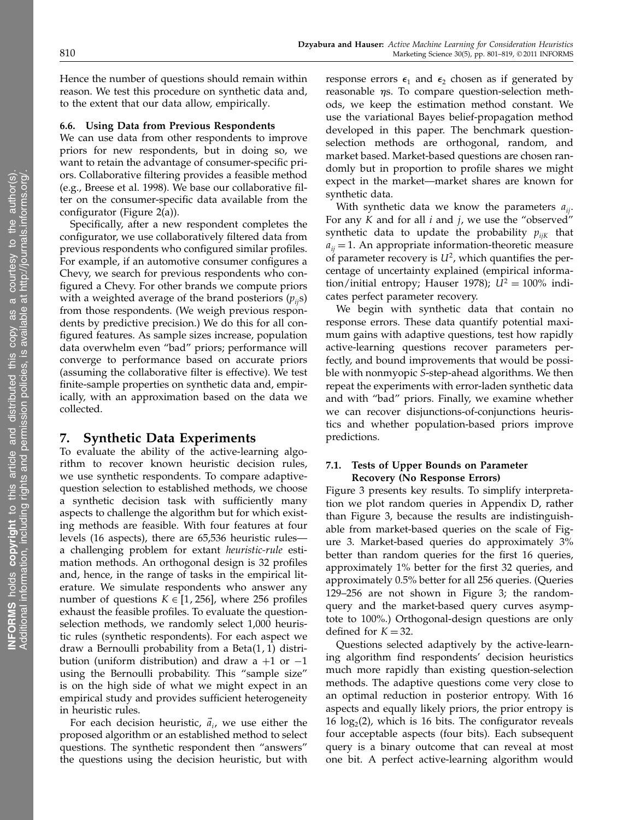Hence the number of questions should remain within reason. We test this procedure on synthetic data and, to the extent that our data allow, empirically.

## 6.6. Using Data from Previous Respondents

We can use data from other respondents to improve priors for new respondents, but in doing so, we want to retain the advantage of consumer-specific priors. Collaborative filtering provides a feasible method (e.g., Breese et al. 1998). We base our collaborative filter on the consumer-specific data available from the configurator (Figure 2(a)).

Specifically, after a new respondent completes the configurator, we use collaboratively filtered data from previous respondents who configured similar profiles. For example, if an automotive consumer configures a Chevy, we search for previous respondents who configured a Chevy. For other brands we compute priors with a weighted average of the brand posteriors  $(p_{ii}s)$ from those respondents. (We weigh previous respondents by predictive precision.) We do this for all configured features. As sample sizes increase, population data overwhelm even "bad" priors; performance will converge to performance based on accurate priors (assuming the collaborative filter is effective). We test finite-sample properties on synthetic data and, empirically, with an approximation based on the data we collected.

#### 7. Synthetic Data Experiments

To evaluate the ability of the active-learning algorithm to recover known heuristic decision rules, we use synthetic respondents. To compare adaptivequestion selection to established methods, we choose a synthetic decision task with sufficiently many aspects to challenge the algorithm but for which existing methods are feasible. With four features at four levels (16 aspects), there are 65,536 heuristic rules a challenging problem for extant heuristic-rule estimation methods. An orthogonal design is 32 profiles and, hence, in the range of tasks in the empirical literature. We simulate respondents who answer any number of questions  $K \in [1, 256]$ , where 256 profiles exhaust the feasible profiles. To evaluate the questionselection methods, we randomly select 1,000 heuristic rules (synthetic respondents). For each aspect we draw a Bernoulli probability from a Beta $(1, 1)$  distribution (uniform distribution) and draw a  $+1$  or  $-1$ using the Bernoulli probability. This "sample size" is on the high side of what we might expect in an empirical study and provides sufficient heterogeneity in heuristic rules.

For each decision heuristic,  $\vec{a}_i$ , we use either the proposed algorithm or an established method to select questions. The synthetic respondent then "answers" the questions using the decision heuristic, but with

response errors  $\epsilon_1$  and  $\epsilon_2$  chosen as if generated by reasonable  $\eta$ s. To compare question-selection methods, we keep the estimation method constant. We use the variational Bayes belief-propagation method developed in this paper. The benchmark questionselection methods are orthogonal, random, and market based. Market-based questions are chosen randomly but in proportion to profile shares we might expect in the market—market shares are known for synthetic data.

With synthetic data we know the parameters  $a_{ii}$ . For any  $K$  and for all  $i$  and  $j$ , we use the "observed" synthetic data to update the probability  $p_{ijk}$  that  $a_{ii} = 1$ . An appropriate information-theoretic measure of parameter recovery is  $U^2$ , which quantifies the percentage of uncertainty explained (empirical information/initial entropy; Hauser 1978);  $U^2 = 100\%$  indicates perfect parameter recovery.

We begin with synthetic data that contain no response errors. These data quantify potential maximum gains with adaptive questions, test how rapidly active-learning questions recover parameters perfectly, and bound improvements that would be possible with nonmyopic S-step-ahead algorithms. We then repeat the experiments with error-laden synthetic data and with "bad" priors. Finally, we examine whether we can recover disjunctions-of-conjunctions heuristics and whether population-based priors improve predictions.

## 7.1. Tests of Upper Bounds on Parameter Recovery (No Response Errors)

Figure 3 presents key results. To simplify interpretation we plot random queries in Appendix D, rather than Figure 3, because the results are indistinguishable from market-based queries on the scale of Figure 3. Market-based queries do approximately 3% better than random queries for the first 16 queries, approximately 1% better for the first 32 queries, and approximately 0.5% better for all 256 queries. (Queries 129–256 are not shown in Figure 3; the randomquery and the market-based query curves asymptote to 100%.) Orthogonal-design questions are only defined for  $K = 32$ .

Questions selected adaptively by the active-learning algorithm find respondents' decision heuristics much more rapidly than existing question-selection methods. The adaptive questions come very close to an optimal reduction in posterior entropy. With 16 aspects and equally likely priors, the prior entropy is  $16 \log_2(2)$ , which is 16 bits. The configurator reveals four acceptable aspects (four bits). Each subsequent query is a binary outcome that can reveal at most one bit. A perfect active-learning algorithm would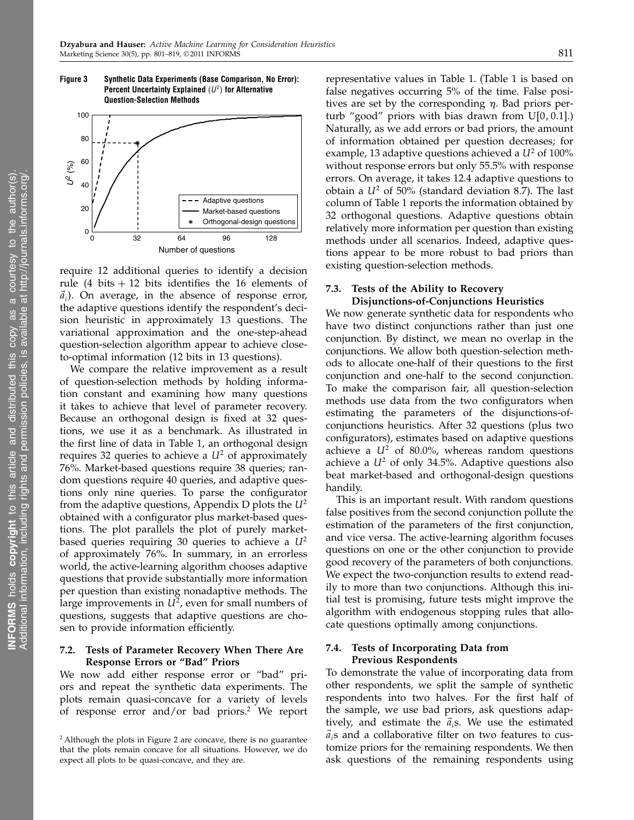Figure 3 Synthetic Data Experiments (Base Comparison, No Error): Percent Uncertainty Explained  $(U^2)$  for Alternative

Question-Selection Methods

 $0\frac{L}{0}$ 20 40 60 80 100 0 32 64 96 128 *U*2 (%) Number of questions Adaptive questions Market-based questions Orthogonal-design questions

require 12 additional queries to identify a decision rule (4 bits  $+ 12$  bits identifies the 16 elements of  $\vec{a}_i$ ). On average, in the absence of response error, the adaptive questions identify the respondent's decision heuristic in approximately 13 questions. The variational approximation and the one-step-ahead question-selection algorithm appear to achieve closeto-optimal information (12 bits in 13 questions).

We compare the relative improvement as a result of question-selection methods by holding information constant and examining how many questions it takes to achieve that level of parameter recovery. Because an orthogonal design is fixed at 32 questions, we use it as a benchmark. As illustrated in the first line of data in Table 1, an orthogonal design requires 32 queries to achieve a  $U^2$  of approximately 76%. Market-based questions require 38 queries; random questions require 40 queries, and adaptive questions only nine queries. To parse the configurator from the adaptive questions, Appendix D plots the  $U^2$ obtained with a configurator plus market-based questions. The plot parallels the plot of purely marketbased queries requiring 30 queries to achieve a  $U^2$ of approximately 76%. In summary, in an errorless world, the active-learning algorithm chooses adaptive questions that provide substantially more information per question than existing nonadaptive methods. The large improvements in  $U^2$ , even for small numbers of questions, suggests that adaptive questions are chosen to provide information efficiently.

#### 7.2. Tests of Parameter Recovery When There Are Response Errors or "Bad" Priors

We now add either response error or "bad" priors and repeat the synthetic data experiments. The plots remain quasi-concave for a variety of levels of response error and/or bad priors.<sup>2</sup> We report representative values in Table 1. (Table 1 is based on false negatives occurring 5% of the time. False positives are set by the corresponding  $\eta$ . Bad priors perturb "good" priors with bias drawn from  $U[0, 0.1]$ .) Naturally, as we add errors or bad priors, the amount of information obtained per question decreases; for example, 13 adaptive questions achieved a  $U^2$  of 100% without response errors but only 55.5% with response errors. On average, it takes 12.4 adaptive questions to obtain a  $U^2$  of 50% (standard deviation 8.7). The last column of Table 1 reports the information obtained by 32 orthogonal questions. Adaptive questions obtain relatively more information per question than existing methods under all scenarios. Indeed, adaptive questions appear to be more robust to bad priors than existing question-selection methods.

## 7.3. Tests of the Ability to Recovery Disjunctions-of-Conjunctions Heuristics

We now generate synthetic data for respondents who have two distinct conjunctions rather than just one conjunction. By distinct, we mean no overlap in the conjunctions. We allow both question-selection methods to allocate one-half of their questions to the first conjunction and one-half to the second conjunction. To make the comparison fair, all question-selection methods use data from the two configurators when estimating the parameters of the disjunctions-ofconjunctions heuristics. After 32 questions (plus two configurators), estimates based on adaptive questions achieve a  $U^2$  of 80.0%, whereas random questions achieve a  $U^2$  of only 34.5%. Adaptive questions also beat market-based and orthogonal-design questions handily.

This is an important result. With random questions false positives from the second conjunction pollute the estimation of the parameters of the first conjunction, and vice versa. The active-learning algorithm focuses questions on one or the other conjunction to provide good recovery of the parameters of both conjunctions. We expect the two-conjunction results to extend readily to more than two conjunctions. Although this initial test is promising, future tests might improve the algorithm with endogenous stopping rules that allocate questions optimally among conjunctions.

## 7.4. Tests of Incorporating Data from Previous Respondents

To demonstrate the value of incorporating data from other respondents, we split the sample of synthetic respondents into two halves. For the first half of the sample, we use bad priors, ask questions adaptively, and estimate the  $\vec{a}_i$ s. We use the estimated  $\vec{a}_i$ s and a collaborative filter on two features to customize priors for the remaining respondents. We then ask questions of the remaining respondents using

<sup>&</sup>lt;sup>2</sup> Although the plots in Figure 2 are concave, there is no guarantee that the plots remain concave for all situations. However, we do expect all plots to be quasi-concave, and they are.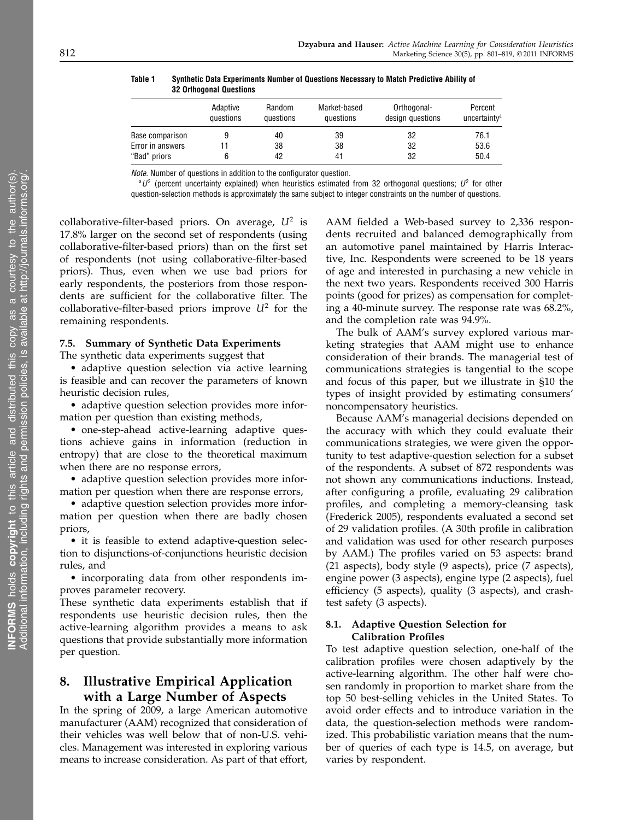|                  | Adaptive  | Random    | Market-based | Orthogonal-      | Percent                  |
|------------------|-----------|-----------|--------------|------------------|--------------------------|
|                  | questions | questions | questions    | design questions | uncertainty <sup>a</sup> |
| Base comparison  |           | 40        | 39           | 32               | 76.1                     |
| Error in answers |           | 38        | 38           | 32               | 53.6                     |
| "Bad" priors     |           | 42        | 41           | 32               | 50.4                     |

Table 1 Synthetic Data Experiments Number of Questions Necessary to Match Predictive Ability of 32 Orthogonal Questions

Note. Number of questions in addition to the configurator question.

 $^aU^2$  (percent uncertainty explained) when heuristics estimated from 32 orthogonal questions;  $U^2$  for other question-selection methods is approximately the same subject to integer constraints on the number of questions.

collaborative-filter-based priors. On average,  $U^2$  is 17.8% larger on the second set of respondents (using collaborative-filter-based priors) than on the first set of respondents (not using collaborative-filter-based priors). Thus, even when we use bad priors for early respondents, the posteriors from those respondents are sufficient for the collaborative filter. The collaborative-filter-based priors improve  $U^2$  for the remaining respondents.

#### 7.5. Summary of Synthetic Data Experiments

The synthetic data experiments suggest that

• adaptive question selection via active learning is feasible and can recover the parameters of known heuristic decision rules,

• adaptive question selection provides more information per question than existing methods,

• one-step-ahead active-learning adaptive questions achieve gains in information (reduction in entropy) that are close to the theoretical maximum when there are no response errors,

• adaptive question selection provides more information per question when there are response errors,

• adaptive question selection provides more information per question when there are badly chosen priors,

• it is feasible to extend adaptive-question selection to disjunctions-of-conjunctions heuristic decision rules, and

• incorporating data from other respondents improves parameter recovery.

These synthetic data experiments establish that if respondents use heuristic decision rules, then the active-learning algorithm provides a means to ask questions that provide substantially more information per question.

# 8. Illustrative Empirical Application with a Large Number of Aspects

In the spring of 2009, a large American automotive manufacturer (AAM) recognized that consideration of their vehicles was well below that of non-U.S. vehicles. Management was interested in exploring various means to increase consideration. As part of that effort, AAM fielded a Web-based survey to 2,336 respondents recruited and balanced demographically from an automotive panel maintained by Harris Interactive, Inc. Respondents were screened to be 18 years of age and interested in purchasing a new vehicle in the next two years. Respondents received 300 Harris points (good for prizes) as compensation for completing a 40-minute survey. The response rate was 68.2%, and the completion rate was 94.9%.

The bulk of AAM's survey explored various marketing strategies that AAM might use to enhance consideration of their brands. The managerial test of communications strategies is tangential to the scope and focus of this paper, but we illustrate in §10 the types of insight provided by estimating consumers' noncompensatory heuristics.

Because AAM's managerial decisions depended on the accuracy with which they could evaluate their communications strategies, we were given the opportunity to test adaptive-question selection for a subset of the respondents. A subset of 872 respondents was not shown any communications inductions. Instead, after configuring a profile, evaluating 29 calibration profiles, and completing a memory-cleansing task (Frederick 2005), respondents evaluated a second set of 29 validation profiles. (A 30th profile in calibration and validation was used for other research purposes by AAM.) The profiles varied on 53 aspects: brand (21 aspects), body style (9 aspects), price (7 aspects), engine power (3 aspects), engine type (2 aspects), fuel efficiency (5 aspects), quality (3 aspects), and crashtest safety (3 aspects).

## 8.1. Adaptive Question Selection for Calibration Profiles

To test adaptive question selection, one-half of the calibration profiles were chosen adaptively by the active-learning algorithm. The other half were chosen randomly in proportion to market share from the top 50 best-selling vehicles in the United States. To avoid order effects and to introduce variation in the data, the question-selection methods were randomized. This probabilistic variation means that the number of queries of each type is 14.5, on average, but varies by respondent.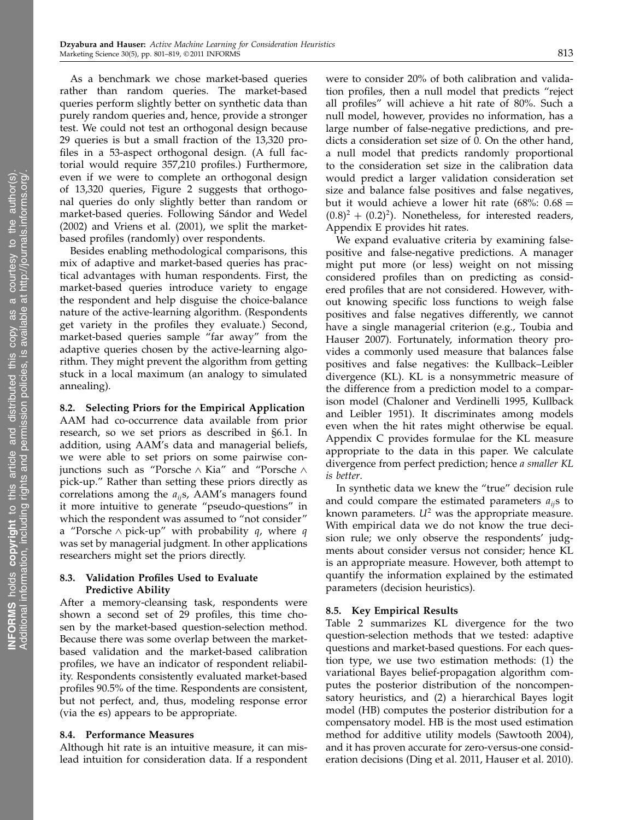As a benchmark we chose market-based queries rather than random queries. The market-based queries perform slightly better on synthetic data than purely random queries and, hence, provide a stronger test. We could not test an orthogonal design because 29 queries is but a small fraction of the 13,320 profiles in a 53-aspect orthogonal design. (A full factorial would require 357,210 profiles.) Furthermore, even if we were to complete an orthogonal design of 13,320 queries, Figure 2 suggests that orthogonal queries do only slightly better than random or market-based queries. Following Sándor and Wedel (2002) and Vriens et al. (2001), we split the marketbased profiles (randomly) over respondents.

Besides enabling methodological comparisons, this mix of adaptive and market-based queries has practical advantages with human respondents. First, the market-based queries introduce variety to engage the respondent and help disguise the choice-balance nature of the active-learning algorithm. (Respondents get variety in the profiles they evaluate.) Second, market-based queries sample "far away" from the adaptive queries chosen by the active-learning algorithm. They might prevent the algorithm from getting stuck in a local maximum (an analogy to simulated annealing).

## 8.2. Selecting Priors for the Empirical Application AAM had co-occurrence data available from prior research, so we set priors as described in §6.1. In addition, using AAM's data and managerial beliefs, we were able to set priors on some pairwise conjunctions such as "Porsche ∧ Kia" and "Porsche ∧ pick-up." Rather than setting these priors directly as correlations among the  $a_{ii}$ s, AAM's managers found it more intuitive to generate "pseudo-questions" in which the respondent was assumed to "not consider" a "Porsche  $\land$  pick-up" with probability q, where q was set by managerial judgment. In other applications researchers might set the priors directly.

#### 8.3. Validation Profiles Used to Evaluate Predictive Ability

After a memory-cleansing task, respondents were shown a second set of 29 profiles, this time chosen by the market-based question-selection method. Because there was some overlap between the marketbased validation and the market-based calibration profiles, we have an indicator of respondent reliability. Respondents consistently evaluated market-based profiles 90.5% of the time. Respondents are consistent, but not perfect, and, thus, modeling response error (via the  $\epsilon$ s) appears to be appropriate.

#### 8.4. Performance Measures

Although hit rate is an intuitive measure, it can mislead intuition for consideration data. If a respondent were to consider 20% of both calibration and validation profiles, then a null model that predicts "reject all profiles" will achieve a hit rate of 80%. Such a null model, however, provides no information, has a large number of false-negative predictions, and predicts a consideration set size of 0. On the other hand, a null model that predicts randomly proportional to the consideration set size in the calibration data would predict a larger validation consideration set size and balance false positives and false negatives, but it would achieve a lower hit rate (68%:  $0.68 =$  $(0.8)^2 + (0.2)^2$ ). Nonetheless, for interested readers, Appendix E provides hit rates.

We expand evaluative criteria by examining falsepositive and false-negative predictions. A manager might put more (or less) weight on not missing considered profiles than on predicting as considered profiles that are not considered. However, without knowing specific loss functions to weigh false positives and false negatives differently, we cannot have a single managerial criterion (e.g., Toubia and Hauser 2007). Fortunately, information theory provides a commonly used measure that balances false positives and false negatives: the Kullback–Leibler divergence (KL). KL is a nonsymmetric measure of the difference from a prediction model to a comparison model (Chaloner and Verdinelli 1995, Kullback and Leibler 1951). It discriminates among models even when the hit rates might otherwise be equal. Appendix C provides formulae for the KL measure appropriate to the data in this paper. We calculate divergence from perfect prediction; hence a smaller KL is better.

In synthetic data we knew the "true" decision rule and could compare the estimated parameters  $a_{ij}$ s to known parameters.  $U^2$  was the appropriate measure. With empirical data we do not know the true decision rule; we only observe the respondents' judgments about consider versus not consider; hence KL is an appropriate measure. However, both attempt to quantify the information explained by the estimated parameters (decision heuristics).

#### 8.5. Key Empirical Results

Table 2 summarizes KL divergence for the two question-selection methods that we tested: adaptive questions and market-based questions. For each question type, we use two estimation methods: (1) the variational Bayes belief-propagation algorithm computes the posterior distribution of the noncompensatory heuristics, and (2) a hierarchical Bayes logit model (HB) computes the posterior distribution for a compensatory model. HB is the most used estimation method for additive utility models (Sawtooth 2004), and it has proven accurate for zero-versus-one consideration decisions (Ding et al. 2011, Hauser et al. 2010).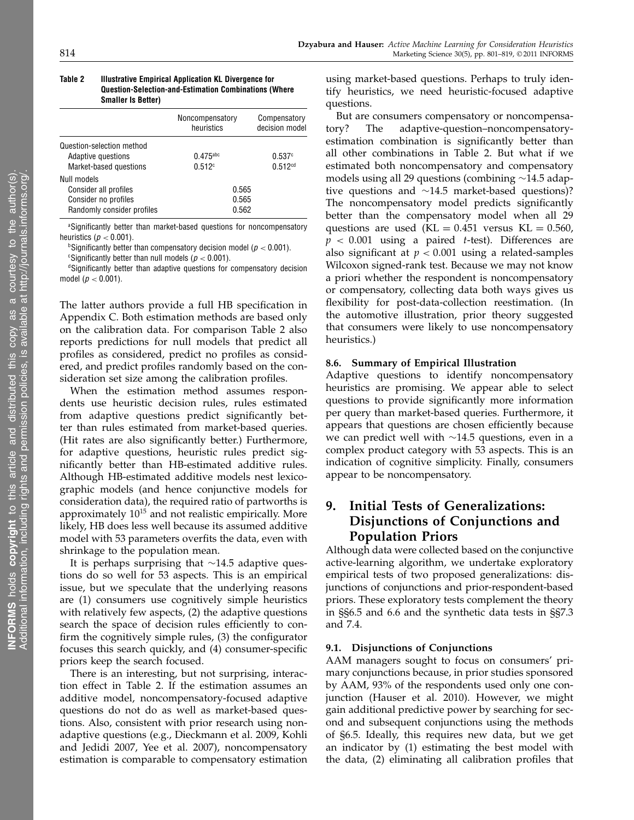#### Table 2 Illustrative Empirical Application KL Divergence for Question-Selection-and-Estimation Combinations (Where Smaller Is Better)

|                                                 | Noncompensatory<br>heuristics | Compensatory<br>decision model |
|-------------------------------------------------|-------------------------------|--------------------------------|
| Question-selection method<br>Adaptive questions | $0.475$ <sub>abc</sub>        | 0.537c                         |
| Market-based questions                          | 0.512c                        | 0.512 <sup>cd</sup>            |
| Null models                                     |                               |                                |
| Consider all profiles                           | 0.565                         |                                |
| Consider no profiles                            | 0.565                         |                                |
| Randomly consider profiles                      | 0.562                         |                                |

aSignificantly better than market-based questions for noncompensatory heuristics ( $p < 0.001$ ).

**bSignificantly better than compensatory decision model (** $p < 0.001$ **).** 

<sup>c</sup>Significantly better than null models ( $p < 0.001$ ).

<sup>d</sup>Significantly better than adaptive questions for compensatory decision model ( $p < 0.001$ ).

The latter authors provide a full HB specification in Appendix C. Both estimation methods are based only on the calibration data. For comparison Table 2 also reports predictions for null models that predict all profiles as considered, predict no profiles as considered, and predict profiles randomly based on the consideration set size among the calibration profiles.

When the estimation method assumes respondents use heuristic decision rules, rules estimated from adaptive questions predict significantly better than rules estimated from market-based queries. (Hit rates are also significantly better.) Furthermore, for adaptive questions, heuristic rules predict significantly better than HB-estimated additive rules. Although HB-estimated additive models nest lexicographic models (and hence conjunctive models for consideration data), the required ratio of partworths is approximately 10<sup>15</sup> and not realistic empirically. More likely, HB does less well because its assumed additive model with 53 parameters overfits the data, even with shrinkage to the population mean.

It is perhaps surprising that ∼14.5 adaptive questions do so well for 53 aspects. This is an empirical issue, but we speculate that the underlying reasons are (1) consumers use cognitively simple heuristics with relatively few aspects, (2) the adaptive questions search the space of decision rules efficiently to confirm the cognitively simple rules, (3) the configurator focuses this search quickly, and (4) consumer-specific priors keep the search focused.

There is an interesting, but not surprising, interaction effect in Table 2. If the estimation assumes an additive model, noncompensatory-focused adaptive questions do not do as well as market-based questions. Also, consistent with prior research using nonadaptive questions (e.g., Dieckmann et al. 2009, Kohli and Jedidi 2007, Yee et al. 2007), noncompensatory estimation is comparable to compensatory estimation using market-based questions. Perhaps to truly identify heuristics, we need heuristic-focused adaptive questions.

But are consumers compensatory or noncompensatory? The adaptive-question–noncompensatoryestimation combination is significantly better than all other combinations in Table 2. But what if we estimated both noncompensatory and compensatory models using all 29 questions (combining ∼14.5 adaptive questions and ∼14.5 market-based questions)? The noncompensatory model predicts significantly better than the compensatory model when all 29 questions are used  $(KL = 0.451$  versus  $KL = 0.560$ ,  $p < 0.001$  using a paired *t*-test). Differences are also significant at  $p < 0.001$  using a related-samples Wilcoxon signed-rank test. Because we may not know a priori whether the respondent is noncompensatory or compensatory, collecting data both ways gives us flexibility for post-data-collection reestimation. (In the automotive illustration, prior theory suggested that consumers were likely to use noncompensatory heuristics.)

#### 8.6. Summary of Empirical Illustration

Adaptive questions to identify noncompensatory heuristics are promising. We appear able to select questions to provide significantly more information per query than market-based queries. Furthermore, it appears that questions are chosen efficiently because we can predict well with ∼14.5 questions, even in a complex product category with 53 aspects. This is an indication of cognitive simplicity. Finally, consumers appear to be noncompensatory.

# 9. Initial Tests of Generalizations: Disjunctions of Conjunctions and Population Priors

Although data were collected based on the conjunctive active-learning algorithm, we undertake exploratory empirical tests of two proposed generalizations: disjunctions of conjunctions and prior-respondent-based priors. These exploratory tests complement the theory in §§6.5 and 6.6 and the synthetic data tests in §§7.3 and 7.4.

## 9.1. Disjunctions of Conjunctions

AAM managers sought to focus on consumers' primary conjunctions because, in prior studies sponsored by AAM, 93% of the respondents used only one conjunction (Hauser et al. 2010). However, we might gain additional predictive power by searching for second and subsequent conjunctions using the methods of §6.5. Ideally, this requires new data, but we get an indicator by (1) estimating the best model with the data, (2) eliminating all calibration profiles that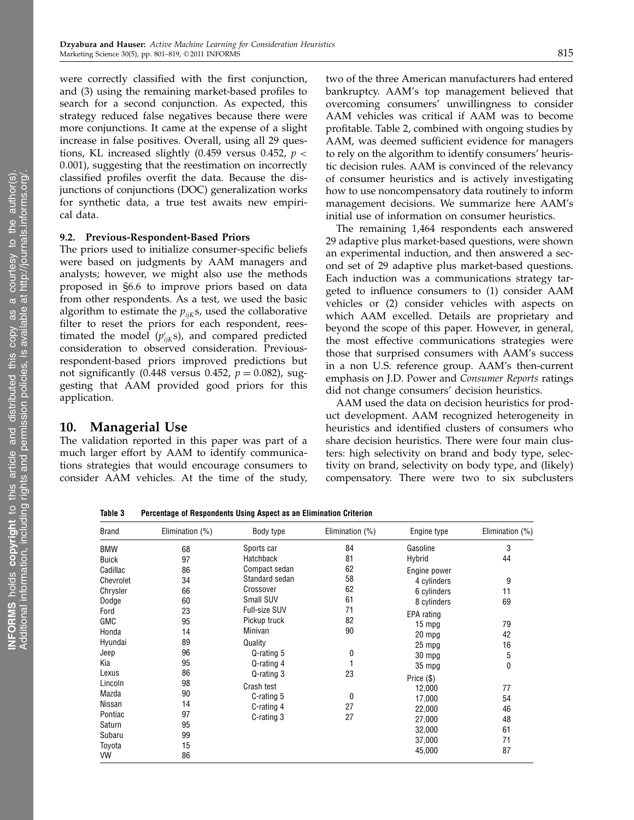were correctly classified with the first conjunction, and (3) using the remaining market-based profiles to search for a second conjunction. As expected, this strategy reduced false negatives because there were more conjunctions. It came at the expense of a slight increase in false positives. Overall, using all 29 questions, KL increased slightly (0.459 versus 0.452,  $p <$ 0.001), suggesting that the reestimation on incorrectly classified profiles overfit the data. Because the disjunctions of conjunctions (DOC) generalization works for synthetic data, a true test awaits new empirical data.

#### 9.2. Previous-Respondent-Based Priors

The priors used to initialize consumer-specific beliefs were based on judgments by AAM managers and analysts; however, we might also use the methods proposed in §6.6 to improve priors based on data from other respondents. As a test, we used the basic algorithm to estimate the  $p_{ijk}$ s, used the collaborative filter to reset the priors for each respondent, reestimated the model  $(p'_{ijk}s)$ , and compared predicted consideration to observed consideration. Previousrespondent-based priors improved predictions but not significantly (0.448 versus 0.452,  $p = 0.082$ ), suggesting that AAM provided good priors for this application.

#### 10. Managerial Use

The validation reported in this paper was part of a much larger effort by AAM to identify communications strategies that would encourage consumers to consider AAM vehicles. At the time of the study, two of the three American manufacturers had entered bankruptcy. AAM's top management believed that overcoming consumers' unwillingness to consider AAM vehicles was critical if AAM was to become profitable. Table 2, combined with ongoing studies by AAM, was deemed sufficient evidence for managers to rely on the algorithm to identify consumers' heuristic decision rules. AAM is convinced of the relevancy of consumer heuristics and is actively investigating how to use noncompensatory data routinely to inform management decisions. We summarize here AAM's initial use of information on consumer heuristics.

The remaining 1,464 respondents each answered 29 adaptive plus market-based questions, were shown an experimental induction, and then answered a second set of 29 adaptive plus market-based questions. Each induction was a communications strategy targeted to influence consumers to (1) consider AAM vehicles or (2) consider vehicles with aspects on which AAM excelled. Details are proprietary and beyond the scope of this paper. However, in general, the most effective communications strategies were those that surprised consumers with AAM's success in a non U.S. reference group. AAM's then-current emphasis on J.D. Power and Consumer Reports ratings did not change consumers' decision heuristics.

AAM used the data on decision heuristics for product development. AAM recognized heterogeneity in heuristics and identified clusters of consumers who share decision heuristics. There were four main clusters: high selectivity on brand and body type, selectivity on brand, selectivity on body type, and (likely) compensatory. There were two to six subclusters

Table 3 Percentage of Respondents Using Aspect as an Elimination Criterion

| <b>Brand</b> | Elimination $(\%)$ | Body type            | Elimination $(\%)$ | Engine type  | Elimination (%) |
|--------------|--------------------|----------------------|--------------------|--------------|-----------------|
| <b>BMW</b>   | 68                 | Sports car           | 84                 | Gasoline     | 3               |
| <b>Buick</b> | 97                 | Hatchback            | 81                 | Hybrid       | 44              |
| Cadillac     | 86                 | Compact sedan        | 62                 | Engine power |                 |
| Chevrolet    | 34                 | Standard sedan       | 58                 | 4 cylinders  | 9               |
| Chrysler     | 66                 | Crossover            | 62                 | 6 cylinders  | 11              |
| Dodge        | 60                 | Small SUV            | 61                 | 8 cylinders  | 69              |
| Ford         | 23                 | <b>Full-size SUV</b> | 71                 | EPA rating   |                 |
| <b>GMC</b>   | 95                 | Pickup truck         | 82                 | 15 mpg       | 79              |
| Honda        | 14                 | Minivan              | 90                 | 20 mpg       | 42              |
| Hyundai      | 89                 | Quality              |                    | 25 mpg       | 16              |
| Jeep         | 96                 | Q-rating 5           | 0                  | 30 mpg       | 5               |
| Kia          | 95                 | Q-rating 4           |                    | 35 mpg       | 0               |
| Lexus        | 86                 | Q-rating 3           | 23                 | Price (\$)   |                 |
| Lincoln      | 98                 | Crash test           |                    | 12,000       | 77              |
| Mazda        | 90                 | C-rating 5           | 0                  | 17,000       | 54              |
| Nissan       | 14                 | C-rating 4           | 27                 | 22,000       | 46              |
| Pontiac      | 97                 | C-rating 3           | 27                 | 27,000       | 48              |
| Saturn       | 95                 |                      |                    | 32,000       | 61              |
| Subaru       | 99                 |                      |                    | 37,000       | 71              |
| Toyota       | 15                 |                      |                    | 45,000       | 87              |
| VW           | 86                 |                      |                    |              |                 |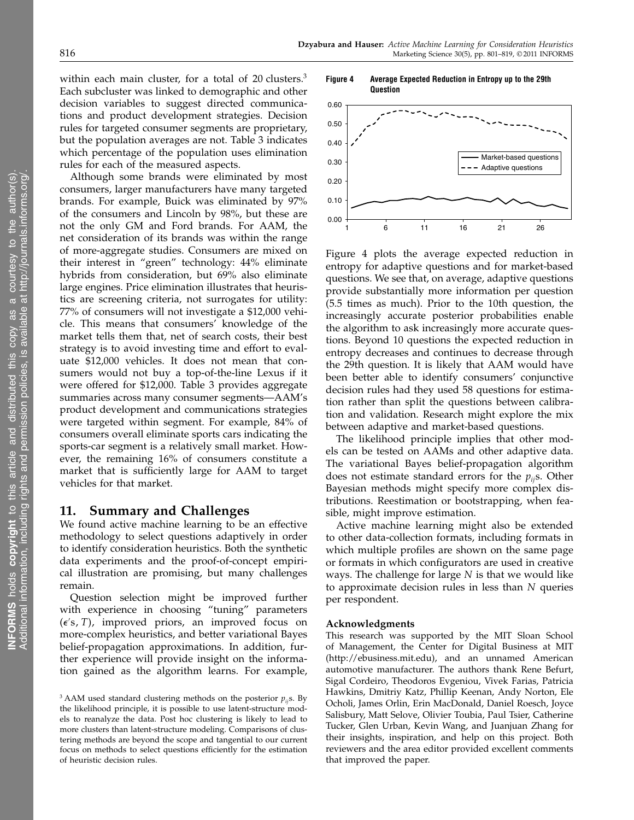within each main cluster, for a total of 20 clusters.<sup>3</sup> Each subcluster was linked to demographic and other decision variables to suggest directed communications and product development strategies. Decision rules for targeted consumer segments are proprietary, but the population averages are not. Table 3 indicates which percentage of the population uses elimination rules for each of the measured aspects.

Although some brands were eliminated by most consumers, larger manufacturers have many targeted brands. For example, Buick was eliminated by 97% of the consumers and Lincoln by 98%, but these are not the only GM and Ford brands. For AAM, the net consideration of its brands was within the range of more-aggregate studies. Consumers are mixed on their interest in "green" technology: 44% eliminate hybrids from consideration, but 69% also eliminate large engines. Price elimination illustrates that heuristics are screening criteria, not surrogates for utility: 77% of consumers will not investigate a \$12,000 vehicle. This means that consumers' knowledge of the market tells them that, net of search costs, their best strategy is to avoid investing time and effort to evaluate \$12,000 vehicles. It does not mean that consumers would not buy a top-of-the-line Lexus if it were offered for \$12,000. Table 3 provides aggregate summaries across many consumer segments—AAM's product development and communications strategies were targeted within segment. For example, 84% of consumers overall eliminate sports cars indicating the sports-car segment is a relatively small market. However, the remaining 16% of consumers constitute a market that is sufficiently large for AAM to target vehicles for that market.

# 11. Summary and Challenges

We found active machine learning to be an effective methodology to select questions adaptively in order to identify consideration heuristics. Both the synthetic data experiments and the proof-of-concept empirical illustration are promising, but many challenges remain.

Question selection might be improved further with experience in choosing "tuning" parameters  $(\epsilon's, T)$ , improved priors, an improved focus on more-complex heuristics, and better variational Bayes belief-propagation approximations. In addition, further experience will provide insight on the information gained as the algorithm learns. For example,

Figure 4 Average Expected Reduction in Entropy up to the 29th



Figure 4 plots the average expected reduction in entropy for adaptive questions and for market-based questions. We see that, on average, adaptive questions provide substantially more information per question (5.5 times as much). Prior to the 10th question, the increasingly accurate posterior probabilities enable the algorithm to ask increasingly more accurate questions. Beyond 10 questions the expected reduction in entropy decreases and continues to decrease through the 29th question. It is likely that AAM would have been better able to identify consumers' conjunctive decision rules had they used 58 questions for estimation rather than split the questions between calibration and validation. Research might explore the mix between adaptive and market-based questions.

The likelihood principle implies that other models can be tested on AAMs and other adaptive data. The variational Bayes belief-propagation algorithm does not estimate standard errors for the  $p_{ij}$ s. Other Bayesian methods might specify more complex distributions. Reestimation or bootstrapping, when feasible, might improve estimation.

Active machine learning might also be extended to other data-collection formats, including formats in which multiple profiles are shown on the same page or formats in which configurators are used in creative ways. The challenge for large  $N$  is that we would like to approximate decision rules in less than N queries per respondent.

#### Acknowledgments

This research was supported by the MIT Sloan School of Management, the Center for Digital Business at MIT (http://ebusiness.mit.edu), and an unnamed American automotive manufacturer. The authors thank Rene Befurt, Sigal Cordeiro, Theodoros Evgeniou, Vivek Farias, Patricia Hawkins, Dmitriy Katz, Phillip Keenan, Andy Norton, Ele Ocholi, James Orlin, Erin MacDonald, Daniel Roesch, Joyce Salisbury, Matt Selove, Olivier Toubia, Paul Tsier, Catherine Tucker, Glen Urban, Kevin Wang, and Juanjuan Zhang for their insights, inspiration, and help on this project. Both reviewers and the area editor provided excellent comments that improved the paper.

<sup>&</sup>lt;sup>3</sup> AAM used standard clustering methods on the posterior  $p_{ij}$ s. By the likelihood principle, it is possible to use latent-structure models to reanalyze the data. Post hoc clustering is likely to lead to more clusters than latent-structure modeling. Comparisons of clustering methods are beyond the scope and tangential to our current focus on methods to select questions efficiently for the estimation of heuristic decision rules.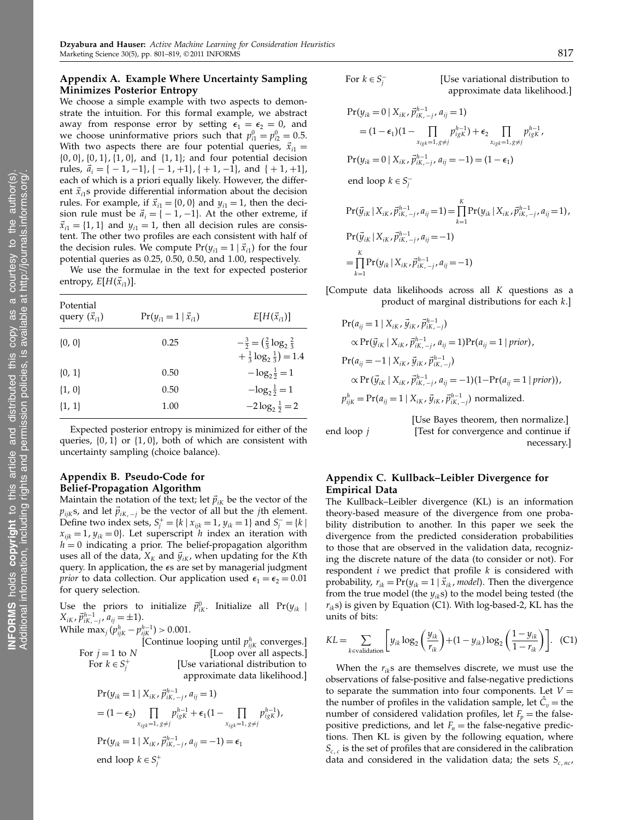## Appendix A. Example Where Uncertainty Sampling Minimizes Posterior Entropy

We choose a simple example with two aspects to demonstrate the intuition. For this formal example, we abstract away from response error by setting  $\epsilon_1 = \epsilon_2 = 0$ , and we choose uninformative priors such that  $p_{i1}^0 = p_{i2}^0 = 0.5$ . With two aspects there are four potential queries,  $\vec{x}_{i1}$  =  $\{0, 0\}, \{0, 1\}, \{1, 0\}, \text{ and } \{1, 1\}; \text{ and four potential decision}$ rules,  $\vec{a}_i = \{-1, -1\}, \{-1, +1\}, \{+1, -1\}$ , and  $\{+1, +1\}$ , each of which is a priori equally likely. However, the different  $\vec{x}_{i1}$ s provide differential information about the decision rules. For example, if  $\vec{x}_{i1} = \{0, 0\}$  and  $y_{i1} = 1$ , then the decision rule must be  $\vec{a}_i = \{-1, -1\}$ . At the other extreme, if  $\vec{x}_{i1} = \{1, 1\}$  and  $y_{i1} = 1$ , then all decision rules are consistent. The other two profiles are each consistent with half of the decision rules. We compute  $Pr(y_{i1} = 1 | \vec{x}_{i1})$  for the four potential queries as 0.25, 0.50, 0.50, and 1.00, respectively.

We use the formulae in the text for expected posterior entropy,  $E[H(\vec{x}_{i1})]$ .

| Potential<br>query $(\vec{x}_{i1})$ | $Pr(y_{i1} = 1   \vec{x}_{i1})$ | $E[H(\vec{x}_{i1})]$                                                                         |
|-------------------------------------|---------------------------------|----------------------------------------------------------------------------------------------|
| $\{0, 0\}$                          | 0.25                            | $-\frac{3}{2} = (\frac{2}{3} \log_2 \frac{2}{3})$<br>$+\frac{1}{3} \log_2 \frac{1}{3} = 1.4$ |
| $\{0, 1\}$                          | 0.50                            | $-\log_2 \frac{1}{2} = 1$                                                                    |
| $\{1, 0\}$                          | 0.50                            | $-\log_2 \frac{1}{2} = 1$                                                                    |
| $\{1, 1\}$                          | 1.00                            | $-2\log_2\frac{1}{2}=2$                                                                      |
|                                     |                                 |                                                                                              |

Expected posterior entropy is minimized for either of the queries,  $\{0, 1\}$  or  $\{1, 0\}$ , both of which are consistent with uncertainty sampling (choice balance).

#### Appendix B. Pseudo-Code for Belief-Propagation Algorithm

Maintain the notation of the text; let  $\vec{p}_{iK}$  be the vector of the  $p_{ijk}$ s, and let  $\vec{p}_{ik,-j}$  be the vector of all but the jth element. Define two index sets,  $S_j^+ = \{k \mid x_{ijk} = 1, y_{ik} = 1\}$  and  $S_j^- = \{k \mid$  $x_{ijk} = 1$ ,  $y_{ik} = 0$ . Let superscript *h* index an iteration with  $h = 0$  indicating a prior. The belief-propagation algorithm uses all of the data,  $X_K$  and  $\vec{y}_{iK}$ , when updating for the Kth query. In application, the  $\epsilon s$  are set by managerial judgment *prior* to data collection. Our application used  $\epsilon_1 = \epsilon_2 = 0.01$ for query selection.

Use the priors to initialize  $\vec{p}_{ik}^0$ . Initialize all Pr( $y_{ik}$  |  $X_{iK}$ ,  $\vec{p}_{iK, -j}^{h-1}$ ,  $a_{ij} = \pm 1$ ).

While  $\max_j (p_{ijk}^h - p_{ijk}^{h-1}) > 0.001$ .

For  $k \in S_j^+$ 

[Continue looping until  $p_{ijk}^h$  converges.] For  $j = 1$  to  $N$  [Loop over all aspects.] [Use variational distribution to approximate data likelihood.]

$$
Pr(y_{ik} = 1 | X_{ik}, \vec{p}_{ik, -j}^{h-1}, a_{ij} = 1)
$$
  
=  $(1 - \epsilon_2) \prod_{x_{igk} = 1, g \neq j} p_{igk}^{h-1} + \epsilon_1 (1 - \prod_{x_{igk} = 1, g \neq j} p_{igk}^{h-1}),$   

$$
Pr(y_{ik} = 1 | X_{ik}, \vec{p}_{ik, -j}^{h-1}, a_{ij} = -1) = \epsilon_1
$$

end loop  $k \in S_j^+$ 

For 
$$
k \in S_j^-
$$

[Use variational distribution to approximate data likelihood.]

$$
Pr(y_{ik} = 0 | X_{ik}, \vec{p}_{ik, -j}^{h-1}, a_{ij} = 1)
$$
  
\n
$$
= (1 - \epsilon_1)(1 - \prod_{x_{igk} = 1, g \neq j} p_{igk}^{h-1}) + \epsilon_2 \prod_{x_{igk} = 1, g \neq j} p_{igk}^{h-1},
$$
  
\n
$$
Pr(y_{ik} = 0 | X_{ik}, \vec{p}_{ik, -j}^{h-1}, a_{ij} = -1) = (1 - \epsilon_1)
$$
  
\nend loop  $k \in S_j^-$   
\n
$$
Pr(\vec{y}_{ik} | X_{ik}, \vec{p}_{ik, -j}^{h-1}, a_{ij} = 1) = \prod_{k=1}^K Pr(y_{ik} | X_{ik}, \vec{p}_{ik, -j}^{h-1}, a_{ij} = 1),
$$
  
\n
$$
Pr(\vec{y}_{ik} | X_{ik}, \vec{p}_{ik, -j}^{h-1}, a_{ij} = -1)
$$
  
\n
$$
= \prod_{k=1}^K Pr(y_{ik} | X_{ik}, \vec{p}_{ik, -j}^{h-1}, a_{ij} = -1)
$$

[Compute data likelihoods across all K questions as a product of marginal distributions for each k.]

$$
Pr(a_{ij} = 1 | X_{iK}, \vec{y}_{iK}, \vec{p}_{iK, -j}^{h-1})
$$
  
\n
$$
\propto Pr(\vec{y}_{iK} | X_{iK}, \vec{p}_{iK, -j}^{h-1}, a_{ij} = 1) Pr(a_{ij} = 1 | prior),
$$
  
\n
$$
Pr(a_{ij} = -1 | X_{iK}, \vec{y}_{iK}, \vec{p}_{iK, -j}^{h-1})
$$
  
\n
$$
\propto Pr(\vec{y}_{iK} | X_{iK}, \vec{p}_{iK, -j}^{h-1}, a_{ij} = -1)(1 - Pr(a_{ij} = 1 | prior)),
$$
  
\n
$$
p_{iJK}^{h} = Pr(a_{ij} = 1 | X_{iK}, \vec{y}_{iK}, \vec{p}_{iK, -j}^{h-1})
$$
normalized.

 $k=1$ 

[Use Bayes theorem, then normalize.] end loop  $j$  [Test for convergence and continue if necessary.]

## Appendix C. Kullback–Leibler Divergence for Empirical Data

The Kullback–Leibler divergence (KL) is an information theory-based measure of the divergence from one probability distribution to another. In this paper we seek the divergence from the predicted consideration probabilities to those that are observed in the validation data, recognizing the discrete nature of the data (to consider or not). For respondent  $i$  we predict that profile  $k$  is considered with probability,  $r_{ik} = Pr(y_{ik} = 1 | \vec{x}_{ik}, \text{model})$ . Then the divergence from the true model (the  $y_{ik}$ s) to the model being tested (the  $r_{ik}$ s) is given by Equation (C1). With log-based-2, KL has the units of bits:

$$
KL = \sum_{k \text{evaluation}} \left[ y_{ik} \log_2 \left( \frac{y_{ik}}{r_{ik}} \right) + (1 - y_{ik}) \log_2 \left( \frac{1 - y_{ik}}{1 - r_{ik}} \right) \right]. \tag{C1}
$$

When the  $r_{ik}$ s are themselves discrete, we must use the observations of false-positive and false-negative predictions to separate the summation into four components. Let  $V =$ the number of profiles in the validation sample, let  $\hat{C}_v$  = the number of considered validation profiles, let  $F_p$  = the falsepositive predictions, and let  $F_n$  = the false-negative predictions. Then KL is given by the following equation, where  $S_{c,c}$  is the set of profiles that are considered in the calibration data and considered in the validation data; the sets  $S_{c,nc}$ ,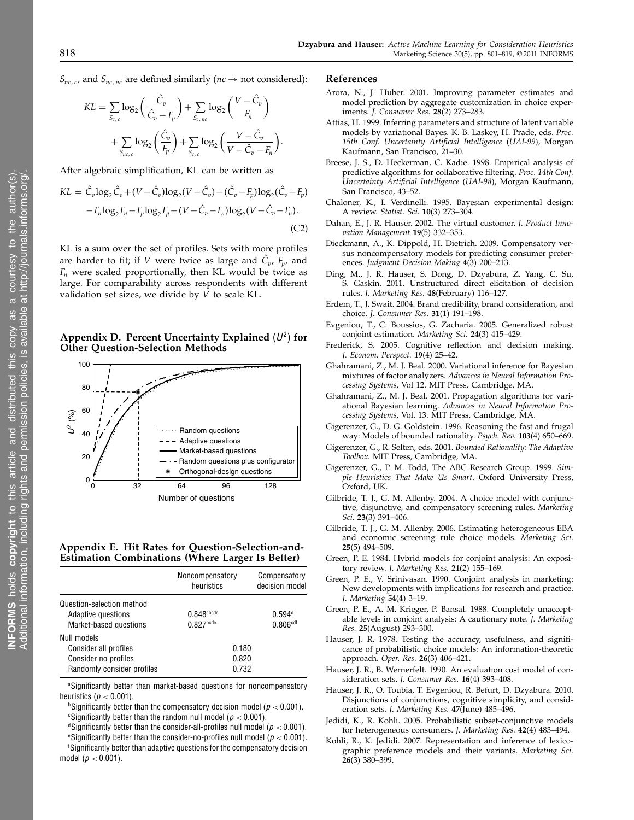$S_{nc,c}$ , and  $S_{nc,nc}$  are defined similarly ( $nc \rightarrow$  not considered):

$$
KL = \sum_{S_{c,c}} \log_2 \left( \frac{\hat{C}_v}{\hat{C}_v - F_p} \right) + \sum_{S_{c,nc}} \log_2 \left( \frac{V - \hat{C}_v}{F_n} \right)
$$

$$
+ \sum_{S_{nc,c}} \log_2 \left( \frac{\hat{C}_v}{F_p} \right) + \sum_{S_{c,c}} \log_2 \left( \frac{V - \hat{C}_v}{V - \hat{C}_v - F_n} \right)
$$

After algebraic simplification, KL can be written as

$$
KL = \hat{C}_v \log_2 \hat{C}_v + (V - \hat{C}_v) \log_2 (V - \hat{C}_v) - (\hat{C}_v - F_p) \log_2 (\hat{C}_v - F_p) -F_n \log_2 F_n - F_p \log_2 F_p - (V - \hat{C}_v - F_n) \log_2 (V - \hat{C}_v - F_n).
$$
\n(C2)

KL is a sum over the set of profiles. Sets with more profiles are harder to fit; if V were twice as large and  $\hat{C}_v$ ,  $\overline{F}_p$ , and  $F_n$  were scaled proportionally, then KL would be twice as large. For comparability across respondents with different validation set sizes, we divide by V to scale KL.

Appendix D. Percent Uncertainty Explained  $(U^2)$  for Other Question-Selection Methods



Appendix E. Hit Rates for Question-Selection-and-Estimation Combinations (Where Larger Is Better)

|                                                                                            | Noncompensatory<br>heuristics | Compensatory<br>decision model             |  |
|--------------------------------------------------------------------------------------------|-------------------------------|--------------------------------------------|--|
| Question-selection method<br>Adaptive questions<br>Market-based questions                  | $0.848$ abcde<br>$0.827$ bcde | 0.594 <sup>d</sup><br>0.806 <sup>cdf</sup> |  |
| Null models<br>Consider all profiles<br>Consider no profiles<br>Randomly consider profiles | 0.180<br>0.820<br>0.732       |                                            |  |

aSignificantly better than market-based questions for noncompensatory heuristics ( $p < 0.001$ ).

<sup>b</sup>Significantly better than the compensatory decision model ( $p < 0.001$ ). <sup>c</sup>Significantly better than the random null model ( $p < 0.001$ ).

<sup>d</sup>Significantly better than the consider-all-profiles null model ( $p < 0.001$ ).

<sup>e</sup>Significantly better than the consider-no-profiles null model ( $p < 0.001$ ). <sup>f</sup>Significantly better than adaptive questions for the compensatory decision model ( $p < 0.001$ ).

#### References

.

- Arora, N., J. Huber. 2001. Improving parameter estimates and model prediction by aggregate customization in choice experiments. J. Consumer Res. 28(2) 273–283.
- Attias, H. 1999. Inferring parameters and structure of latent variable models by variational Bayes. K. B. Laskey, H. Prade, eds. Proc. 15th Conf. Uncertainty Artificial Intelligence (UAI-99), Morgan Kaufmann, San Francisco, 21–30.
- Breese, J. S., D. Heckerman, C. Kadie. 1998. Empirical analysis of predictive algorithms for collaborative filtering. Proc. 14th Conf. Uncertainty Artificial Intelligence (UAI-98), Morgan Kaufmann, San Francisco, 43–52.
- Chaloner, K., I. Verdinelli. 1995. Bayesian experimental design: A review. Statist. Sci. 10(3) 273–304.
- Dahan, E., J. R. Hauser. 2002. The virtual customer. J. Product Innovation Management 19(5) 332–353.
- Dieckmann, A., K. Dippold, H. Dietrich. 2009. Compensatory versus noncompensatory models for predicting consumer preferences. Judgment Decision Making 4(3) 200–213.
- Ding, M., J. R. Hauser, S. Dong, D. Dzyabura, Z. Yang, C. Su, S. Gaskin. 2011. Unstructured direct elicitation of decision rules. J. Marketing Res. 48(February) 116–127.
- Erdem, T., J. Swait. 2004. Brand credibility, brand consideration, and choice. J. Consumer Res. 31(1) 191–198.
- Evgeniou, T., C. Boussios, G. Zacharia. 2005. Generalized robust conjoint estimation. Marketing Sci. 24(3) 415–429.
- Frederick, S. 2005. Cognitive reflection and decision making. J. Econom. Perspect. 19(4) 25–42.
- Ghahramani, Z., M. J. Beal. 2000. Variational inference for Bayesian mixtures of factor analyzers. Advances in Neural Information Processing Systems, Vol 12. MIT Press, Cambridge, MA.
- Ghahramani, Z., M. J. Beal. 2001. Propagation algorithms for variational Bayesian learning. Advances in Neural Information Processing Systems, Vol. 13. MIT Press, Cambridge, MA.
- Gigerenzer, G., D. G. Goldstein. 1996. Reasoning the fast and frugal way: Models of bounded rationality. Psych. Rev. 103(4) 650–669.
- Gigerenzer, G., R. Selten, eds. 2001. Bounded Rationality: The Adaptive Toolbox. MIT Press, Cambridge, MA.
- Gigerenzer, G., P. M. Todd, The ABC Research Group. 1999. Simple Heuristics That Make Us Smart. Oxford University Press, Oxford, UK.
- Gilbride, T. J., G. M. Allenby. 2004. A choice model with conjunctive, disjunctive, and compensatory screening rules. Marketing Sci. 23(3) 391–406.
- Gilbride, T. J., G. M. Allenby. 2006. Estimating heterogeneous EBA and economic screening rule choice models. Marketing Sci. 25(5) 494–509.
- Green, P. E. 1984. Hybrid models for conjoint analysis: An expository review. J. Marketing Res. 21(2) 155–169.
- Green, P. E., V. Srinivasan. 1990. Conjoint analysis in marketing: New developments with implications for research and practice. J. Marketing 54(4) 3–19.
- Green, P. E., A. M. Krieger, P. Bansal. 1988. Completely unacceptable levels in conjoint analysis: A cautionary note. J. Marketing Res. 25(August) 293–300.
- Hauser, J. R. 1978. Testing the accuracy, usefulness, and significance of probabilistic choice models: An information-theoretic approach. Oper. Res. 26(3) 406–421.
- Hauser, J. R., B. Wernerfelt. 1990. An evaluation cost model of consideration sets. J. Consumer Res. 16(4) 393–408.
- Hauser, J. R., O. Toubia, T. Evgeniou, R. Befurt, D. Dzyabura. 2010. Disjunctions of conjunctions, cognitive simplicity, and consideration sets. J. Marketing Res. 47(June) 485–496.
- Jedidi, K., R. Kohli. 2005. Probabilistic subset-conjunctive models for heterogeneous consumers. J. Marketing Res. 42(4) 483–494.
- Kohli, R., K. Jedidi. 2007. Representation and inference of lexicographic preference models and their variants. Marketing Sci. 26(3) 380–399.